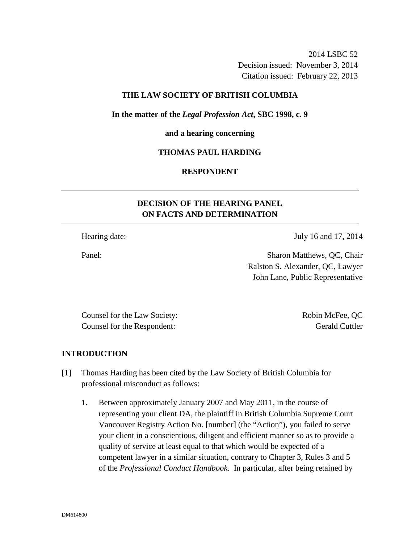2014 LSBC 52 Decision issued: November 3, 2014 Citation issued: February 22, 2013

### **THE LAW SOCIETY OF BRITISH COLUMBIA**

**In the matter of the** *Legal Profession Act***, SBC 1998, c. 9** 

#### **and a hearing concerning**

### **THOMAS PAUL HARDING**

## **RESPONDENT**

# **DECISION OF THE HEARING PANEL ON FACTS AND DETERMINATION**

Hearing date: July 16 and 17, 2014

Panel: Sharon Matthews, QC, Chair Ralston S. Alexander, QC, Lawyer John Lane, Public Representative

Counsel for the Law Society: Robin McFee, QC Counsel for the Respondent: Gerald Cuttler

#### **INTRODUCTION**

- [1] Thomas Harding has been cited by the Law Society of British Columbia for professional misconduct as follows:
	- 1. Between approximately January 2007 and May 2011, in the course of representing your client DA, the plaintiff in British Columbia Supreme Court Vancouver Registry Action No. [number] (the "Action"), you failed to serve your client in a conscientious, diligent and efficient manner so as to provide a quality of service at least equal to that which would be expected of a competent lawyer in a similar situation, contrary to Chapter 3, Rules 3 and 5 of the *Professional Conduct Handbook.* In particular, after being retained by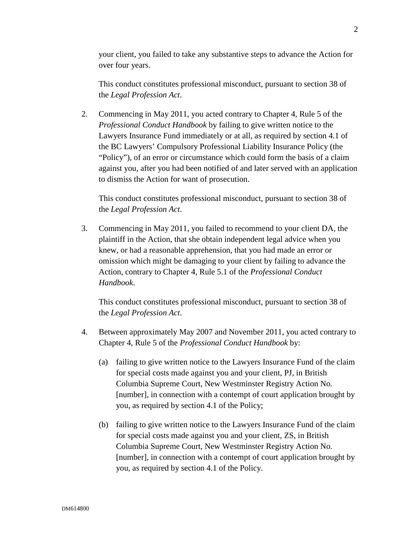your client, you failed to take any substantive steps to advance the Action for over four years.

This conduct constitutes professional misconduct, pursuant to section 38 of the *Legal Profession Act*.

2. Commencing in May 2011, you acted contrary to Chapter 4, Rule 5 of the *Professional Conduct Handbook* by failing to give written notice to the Lawyers Insurance Fund immediately or at all, as required by section 4.1 of the BC Lawyers' Compulsory Professional Liability Insurance Policy (the "Policy"), of an error or circumstance which could form the basis of a claim against you, after you had been notified of and later served with an application to dismiss the Action for want of prosecution.

This conduct constitutes professional misconduct, pursuant to section 38 of the *Legal Profession Act*.

3. Commencing in May 2011, you failed to recommend to your client DA, the plaintiff in the Action, that she obtain independent legal advice when you knew, or had a reasonable apprehension, that you had made an error or omission which might be damaging to your client by failing to advance the Action, contrary to Chapter 4, Rule 5.1 of the *Professional Conduct Handbook*.

This conduct constitutes professional misconduct, pursuant to section 38 of the *Legal Profession Act*.

- 4. Between approximately May 2007 and November 2011, you acted contrary to Chapter 4, Rule 5 of the *Professional Conduct Handbook* by:
	- (a) failing to give written notice to the Lawyers Insurance Fund of the claim for special costs made against you and your client, PJ, in British Columbia Supreme Court, New Westminster Registry Action No. [number], in connection with a contempt of court application brought by you, as required by section 4.1 of the Policy;
	- (b) failing to give written notice to the Lawyers Insurance Fund of the claim for special costs made against you and your client, ZS, in British Columbia Supreme Court, New Westminster Registry Action No. [number], in connection with a contempt of court application brought by you, as required by section 4.1 of the Policy.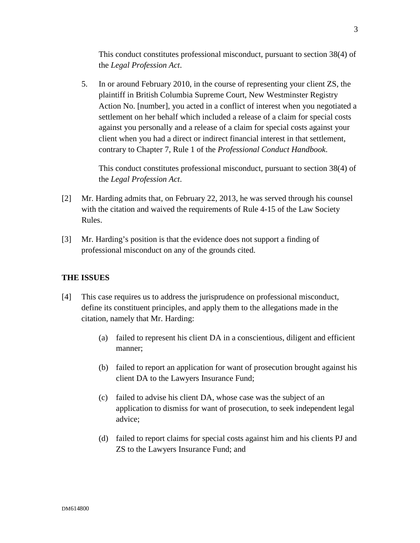This conduct constitutes professional misconduct, pursuant to section 38(4) of the *Legal Profession Act*.

5. In or around February 2010, in the course of representing your client ZS, the plaintiff in British Columbia Supreme Court, New Westminster Registry Action No. [number], you acted in a conflict of interest when you negotiated a settlement on her behalf which included a release of a claim for special costs against you personally and a release of a claim for special costs against your client when you had a direct or indirect financial interest in that settlement, contrary to Chapter 7, Rule 1 of the *Professional Conduct Handbook*.

This conduct constitutes professional misconduct, pursuant to section 38(4) of the *Legal Profession Act*.

- [2] Mr. Harding admits that, on February 22, 2013, he was served through his counsel with the citation and waived the requirements of Rule 4-15 of the Law Society Rules.
- [3] Mr. Harding's position is that the evidence does not support a finding of professional misconduct on any of the grounds cited.

# **THE ISSUES**

- [4] This case requires us to address the jurisprudence on professional misconduct, define its constituent principles, and apply them to the allegations made in the citation, namely that Mr. Harding:
	- (a) failed to represent his client DA in a conscientious, diligent and efficient manner;
	- (b) failed to report an application for want of prosecution brought against his client DA to the Lawyers Insurance Fund;
	- (c) failed to advise his client DA, whose case was the subject of an application to dismiss for want of prosecution, to seek independent legal advice;
	- (d) failed to report claims for special costs against him and his clients PJ and ZS to the Lawyers Insurance Fund; and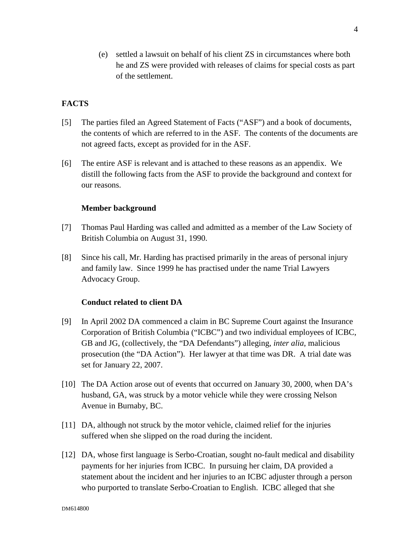(e) settled a lawsuit on behalf of his client ZS in circumstances where both he and ZS were provided with releases of claims for special costs as part of the settlement.

## **FACTS**

- [5] The parties filed an Agreed Statement of Facts ("ASF") and a book of documents, the contents of which are referred to in the ASF. The contents of the documents are not agreed facts, except as provided for in the ASF.
- [6] The entire ASF is relevant and is attached to these reasons as an appendix. We distill the following facts from the ASF to provide the background and context for our reasons.

### **Member background**

- [7] Thomas Paul Harding was called and admitted as a member of the Law Society of British Columbia on August 31, 1990.
- [8] Since his call, Mr. Harding has practised primarily in the areas of personal injury and family law. Since 1999 he has practised under the name Trial Lawyers Advocacy Group.

#### **Conduct related to client DA**

- [9] In April 2002 DA commenced a claim in BC Supreme Court against the Insurance Corporation of British Columbia ("ICBC") and two individual employees of ICBC, GB and JG, (collectively, the "DA Defendants") alleging, *inter alia*, malicious prosecution (the "DA Action"). Her lawyer at that time was DR. A trial date was set for January 22, 2007.
- [10] The DA Action arose out of events that occurred on January 30, 2000, when DA's husband, GA, was struck by a motor vehicle while they were crossing Nelson Avenue in Burnaby, BC.
- [11] DA, although not struck by the motor vehicle, claimed relief for the injuries suffered when she slipped on the road during the incident.
- [12] DA, whose first language is Serbo-Croatian, sought no-fault medical and disability payments for her injuries from ICBC. In pursuing her claim, DA provided a statement about the incident and her injuries to an ICBC adjuster through a person who purported to translate Serbo-Croatian to English. ICBC alleged that she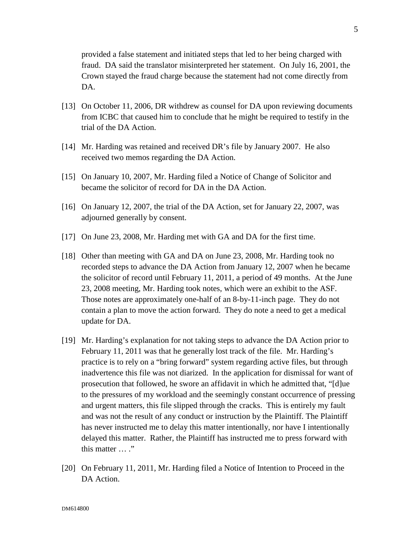provided a false statement and initiated steps that led to her being charged with fraud. DA said the translator misinterpreted her statement. On July 16, 2001, the Crown stayed the fraud charge because the statement had not come directly from DA.

- [13] On October 11, 2006, DR withdrew as counsel for DA upon reviewing documents from ICBC that caused him to conclude that he might be required to testify in the trial of the DA Action.
- [14] Mr. Harding was retained and received DR's file by January 2007. He also received two memos regarding the DA Action.
- [15] On January 10, 2007, Mr. Harding filed a Notice of Change of Solicitor and became the solicitor of record for DA in the DA Action.
- [16] On January 12, 2007, the trial of the DA Action, set for January 22, 2007, was adjourned generally by consent.
- [17] On June 23, 2008, Mr. Harding met with GA and DA for the first time.
- [18] Other than meeting with GA and DA on June 23, 2008, Mr. Harding took no recorded steps to advance the DA Action from January 12, 2007 when he became the solicitor of record until February 11, 2011, a period of 49 months. At the June 23, 2008 meeting, Mr. Harding took notes, which were an exhibit to the ASF. Those notes are approximately one-half of an 8-by-11-inch page. They do not contain a plan to move the action forward. They do note a need to get a medical update for DA.
- [19] Mr. Harding's explanation for not taking steps to advance the DA Action prior to February 11, 2011 was that he generally lost track of the file. Mr. Harding's practice is to rely on a "bring forward" system regarding active files, but through inadvertence this file was not diarized. In the application for dismissal for want of prosecution that followed, he swore an affidavit in which he admitted that, "[d]ue to the pressures of my workload and the seemingly constant occurrence of pressing and urgent matters, this file slipped through the cracks. This is entirely my fault and was not the result of any conduct or instruction by the Plaintiff. The Plaintiff has never instructed me to delay this matter intentionally, nor have I intentionally delayed this matter. Rather, the Plaintiff has instructed me to press forward with this matter ... ."
- [20] On February 11, 2011, Mr. Harding filed a Notice of Intention to Proceed in the DA Action.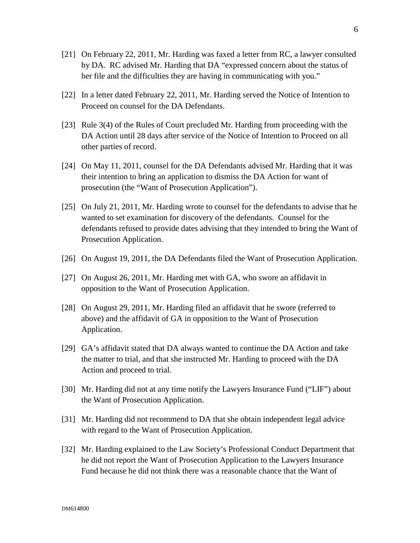- [21] On February 22, 2011, Mr. Harding was faxed a letter from RC, a lawyer consulted by DA. RC advised Mr. Harding that DA "expressed concern about the status of her file and the difficulties they are having in communicating with you."
- [22] In a letter dated February 22, 2011, Mr. Harding served the Notice of Intention to Proceed on counsel for the DA Defendants.
- [23] Rule 3(4) of the Rules of Court precluded Mr. Harding from proceeding with the DA Action until 28 days after service of the Notice of Intention to Proceed on all other parties of record.
- [24] On May 11, 2011, counsel for the DA Defendants advised Mr. Harding that it was their intention to bring an application to dismiss the DA Action for want of prosecution (the "Want of Prosecution Application").
- [25] On July 21, 2011, Mr. Harding wrote to counsel for the defendants to advise that he wanted to set examination for discovery of the defendants. Counsel for the defendants refused to provide dates advising that they intended to bring the Want of Prosecution Application.
- [26] On August 19, 2011, the DA Defendants filed the Want of Prosecution Application.
- [27] On August 26, 2011, Mr. Harding met with GA, who swore an affidavit in opposition to the Want of Prosecution Application.
- [28] On August 29, 2011, Mr. Harding filed an affidavit that he swore (referred to above) and the affidavit of GA in opposition to the Want of Prosecution Application.
- [29] GA's affidavit stated that DA always wanted to continue the DA Action and take the matter to trial, and that she instructed Mr. Harding to proceed with the DA Action and proceed to trial.
- [30] Mr. Harding did not at any time notify the Lawyers Insurance Fund ("LIF") about the Want of Prosecution Application.
- [31] Mr. Harding did not recommend to DA that she obtain independent legal advice with regard to the Want of Prosecution Application.
- [32] Mr. Harding explained to the Law Society's Professional Conduct Department that he did not report the Want of Prosecution Application to the Lawyers Insurance Fund because he did not think there was a reasonable chance that the Want of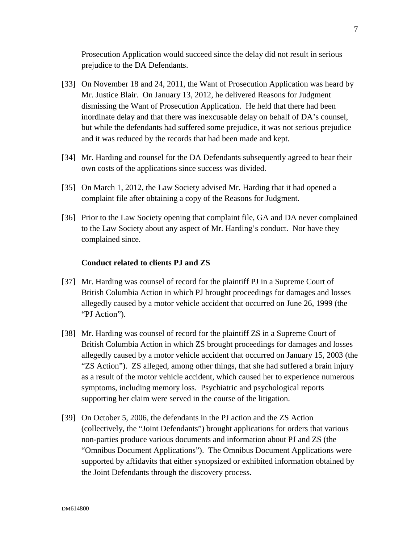Prosecution Application would succeed since the delay did not result in serious prejudice to the DA Defendants.

- [33] On November 18 and 24, 2011, the Want of Prosecution Application was heard by Mr. Justice Blair. On January 13, 2012, he delivered Reasons for Judgment dismissing the Want of Prosecution Application. He held that there had been inordinate delay and that there was inexcusable delay on behalf of DA's counsel, but while the defendants had suffered some prejudice, it was not serious prejudice and it was reduced by the records that had been made and kept.
- [34] Mr. Harding and counsel for the DA Defendants subsequently agreed to bear their own costs of the applications since success was divided.
- [35] On March 1, 2012, the Law Society advised Mr. Harding that it had opened a complaint file after obtaining a copy of the Reasons for Judgment.
- [36] Prior to the Law Society opening that complaint file, GA and DA never complained to the Law Society about any aspect of Mr. Harding's conduct. Nor have they complained since.

#### **Conduct related to clients PJ and ZS**

- [37] Mr. Harding was counsel of record for the plaintiff PJ in a Supreme Court of British Columbia Action in which PJ brought proceedings for damages and losses allegedly caused by a motor vehicle accident that occurred on June 26, 1999 (the "PJ Action").
- [38] Mr. Harding was counsel of record for the plaintiff ZS in a Supreme Court of British Columbia Action in which ZS brought proceedings for damages and losses allegedly caused by a motor vehicle accident that occurred on January 15, 2003 (the "ZS Action"). ZS alleged, among other things, that she had suffered a brain injury as a result of the motor vehicle accident, which caused her to experience numerous symptoms, including memory loss. Psychiatric and psychological reports supporting her claim were served in the course of the litigation.
- [39] On October 5, 2006, the defendants in the PJ action and the ZS Action (collectively, the "Joint Defendants") brought applications for orders that various non-parties produce various documents and information about PJ and ZS (the "Omnibus Document Applications"). The Omnibus Document Applications were supported by affidavits that either synopsized or exhibited information obtained by the Joint Defendants through the discovery process.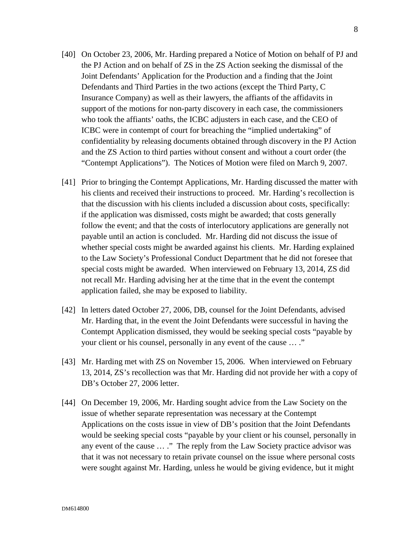- [40] On October 23, 2006, Mr. Harding prepared a Notice of Motion on behalf of PJ and the PJ Action and on behalf of ZS in the ZS Action seeking the dismissal of the Joint Defendants' Application for the Production and a finding that the Joint Defendants and Third Parties in the two actions (except the Third Party, C Insurance Company) as well as their lawyers, the affiants of the affidavits in support of the motions for non-party discovery in each case, the commissioners who took the affiants' oaths, the ICBC adjusters in each case, and the CEO of ICBC were in contempt of court for breaching the "implied undertaking" of confidentiality by releasing documents obtained through discovery in the PJ Action and the ZS Action to third parties without consent and without a court order (the "Contempt Applications"). The Notices of Motion were filed on March 9, 2007.
- [41] Prior to bringing the Contempt Applications, Mr. Harding discussed the matter with his clients and received their instructions to proceed. Mr. Harding's recollection is that the discussion with his clients included a discussion about costs, specifically: if the application was dismissed, costs might be awarded; that costs generally follow the event; and that the costs of interlocutory applications are generally not payable until an action is concluded. Mr. Harding did not discuss the issue of whether special costs might be awarded against his clients. Mr. Harding explained to the Law Society's Professional Conduct Department that he did not foresee that special costs might be awarded. When interviewed on February 13, 2014, ZS did not recall Mr. Harding advising her at the time that in the event the contempt application failed, she may be exposed to liability.
- [42] In letters dated October 27, 2006, DB, counsel for the Joint Defendants, advised Mr. Harding that, in the event the Joint Defendants were successful in having the Contempt Application dismissed, they would be seeking special costs "payable by your client or his counsel, personally in any event of the cause … ."
- [43] Mr. Harding met with ZS on November 15, 2006. When interviewed on February 13, 2014, ZS's recollection was that Mr. Harding did not provide her with a copy of DB's October 27, 2006 letter.
- [44] On December 19, 2006, Mr. Harding sought advice from the Law Society on the issue of whether separate representation was necessary at the Contempt Applications on the costs issue in view of DB's position that the Joint Defendants would be seeking special costs "payable by your client or his counsel, personally in any event of the cause … ." The reply from the Law Society practice advisor was that it was not necessary to retain private counsel on the issue where personal costs were sought against Mr. Harding, unless he would be giving evidence, but it might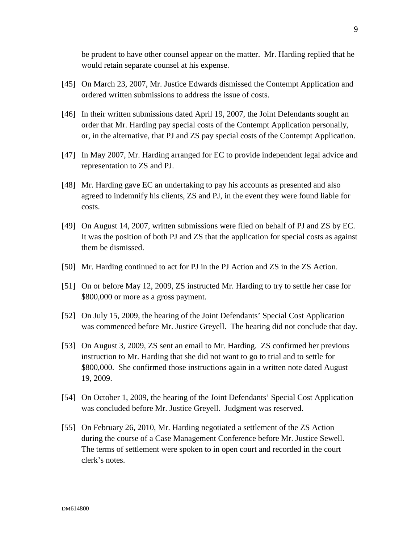be prudent to have other counsel appear on the matter. Mr. Harding replied that he would retain separate counsel at his expense.

- [45] On March 23, 2007, Mr. Justice Edwards dismissed the Contempt Application and ordered written submissions to address the issue of costs.
- [46] In their written submissions dated April 19, 2007, the Joint Defendants sought an order that Mr. Harding pay special costs of the Contempt Application personally, or, in the alternative, that PJ and ZS pay special costs of the Contempt Application.
- [47] In May 2007, Mr. Harding arranged for EC to provide independent legal advice and representation to ZS and PJ.
- [48] Mr. Harding gave EC an undertaking to pay his accounts as presented and also agreed to indemnify his clients, ZS and PJ, in the event they were found liable for costs.
- [49] On August 14, 2007, written submissions were filed on behalf of PJ and ZS by EC. It was the position of both PJ and ZS that the application for special costs as against them be dismissed.
- [50] Mr. Harding continued to act for PJ in the PJ Action and ZS in the ZS Action.
- [51] On or before May 12, 2009, ZS instructed Mr. Harding to try to settle her case for \$800,000 or more as a gross payment.
- [52] On July 15, 2009, the hearing of the Joint Defendants' Special Cost Application was commenced before Mr. Justice Greyell. The hearing did not conclude that day.
- [53] On August 3, 2009, ZS sent an email to Mr. Harding. ZS confirmed her previous instruction to Mr. Harding that she did not want to go to trial and to settle for \$800,000. She confirmed those instructions again in a written note dated August 19, 2009.
- [54] On October 1, 2009, the hearing of the Joint Defendants' Special Cost Application was concluded before Mr. Justice Greyell. Judgment was reserved.
- [55] On February 26, 2010, Mr. Harding negotiated a settlement of the ZS Action during the course of a Case Management Conference before Mr. Justice Sewell. The terms of settlement were spoken to in open court and recorded in the court clerk's notes.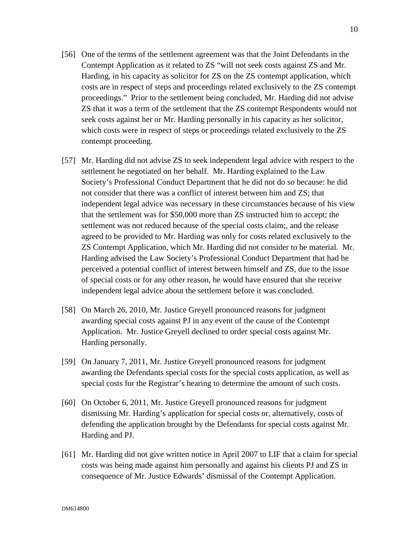- [56] One of the terms of the settlement agreement was that the Joint Defendants in the Contempt Application as it related to ZS "will not seek costs against ZS and Mr. Harding, in his capacity as solicitor for ZS on the ZS contempt application, which costs are in respect of steps and proceedings related exclusively to the ZS contempt proceedings." Prior to the settlement being concluded, Mr. Harding did not advise ZS that it was a term of the settlement that the ZS contempt Respondents would not seek costs against her or Mr. Harding personally in his capacity as her solicitor, which costs were in respect of steps or proceedings related exclusively to the ZS contempt proceeding.
- [57] Mr. Harding did not advise ZS to seek independent legal advice with respect to the settlement he negotiated on her behalf. Mr. Harding explained to the Law Society's Professional Conduct Department that he did not do so because: he did not consider that there was a conflict of interest between him and ZS; that independent legal advice was necessary in these circumstances because of his view that the settlement was for \$50,000 more than ZS instructed him to accept; the settlement was not reduced because of the special costs claim;, and the release agreed to be provided to Mr. Harding was only for costs related exclusively to the ZS Contempt Application, which Mr. Harding did not consider to be material. Mr. Harding advised the Law Society's Professional Conduct Department that had he perceived a potential conflict of interest between himself and ZS, due to the issue of special costs or for any other reason, he would have ensured that she receive independent legal advice about the settlement before it was concluded.
- [58] On March 26, 2010, Mr. Justice Greyell pronounced reasons for judgment awarding special costs against PJ in any event of the cause of the Contempt Application. Mr. Justice Greyell declined to order special costs against Mr. Harding personally.
- [59] On January 7, 2011, Mr. Justice Greyell pronounced reasons for judgment awarding the Defendants special costs for the special costs application, as well as special costs for the Registrar's hearing to determine the amount of such costs.
- [60] On October 6, 2011, Mr. Justice Greyell pronounced reasons for judgment dismissing Mr. Harding's application for special costs or, alternatively, costs of defending the application brought by the Defendants for special costs against Mr. Harding and PJ.
- [61] Mr. Harding did not give written notice in April 2007 to LIF that a claim for special costs was being made against him personally and against his clients PJ and ZS in consequence of Mr. Justice Edwards' dismissal of the Contempt Application.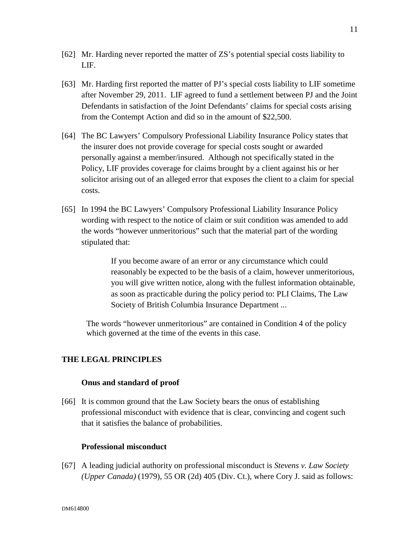- [62] Mr. Harding never reported the matter of ZS's potential special costs liability to LIF.
- [63] Mr. Harding first reported the matter of PJ's special costs liability to LIF sometime after November 29, 2011. LIF agreed to fund a settlement between PJ and the Joint Defendants in satisfaction of the Joint Defendants' claims for special costs arising from the Contempt Action and did so in the amount of \$22,500.
- [64] The BC Lawyers' Compulsory Professional Liability Insurance Policy states that the insurer does not provide coverage for special costs sought or awarded personally against a member/insured. Although not specifically stated in the Policy, LIF provides coverage for claims brought by a client against his or her solicitor arising out of an alleged error that exposes the client to a claim for special costs.
- [65] In 1994 the BC Lawyers' Compulsory Professional Liability Insurance Policy wording with respect to the notice of claim or suit condition was amended to add the words "however unmeritorious" such that the material part of the wording stipulated that:

If you become aware of an error or any circumstance which could reasonably be expected to be the basis of a claim, however unmeritorious, you will give written notice, along with the fullest information obtainable, as soon as practicable during the policy period to: PLI Claims, The Law Society of British Columbia Insurance Department ...

The words "however unmeritorious" are contained in Condition 4 of the policy which governed at the time of the events in this case.

# **THE LEGAL PRINCIPLES**

#### **Onus and standard of proof**

[66] It is common ground that the Law Society bears the onus of establishing professional misconduct with evidence that is clear, convincing and cogent such that it satisfies the balance of probabilities.

#### **Professional misconduct**

[67] A leading judicial authority on professional misconduct is *Stevens v. Law Society (Upper Canada)* (1979), 55 OR (2d) 405 (Div. Ct.), where Cory J. said as follows: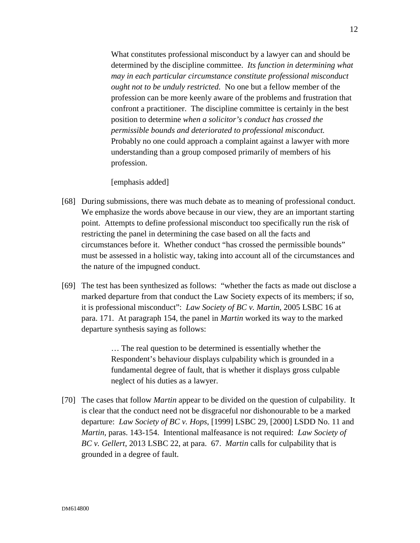What constitutes professional misconduct by a lawyer can and should be determined by the discipline committee. *Its function in determining what may in each particular circumstance constitute professional misconduct ought not to be unduly restricted.* No one but a fellow member of the profession can be more keenly aware of the problems and frustration that confront a practitioner. The discipline committee is certainly in the best position to determine *when a solicitor's conduct has crossed the permissible bounds and deteriorated to professional misconduct.* Probably no one could approach a complaint against a lawyer with more understanding than a group composed primarily of members of his profession.

[emphasis added]

- [68] During submissions, there was much debate as to meaning of professional conduct. We emphasize the words above because in our view, they are an important starting point. Attempts to define professional misconduct too specifically run the risk of restricting the panel in determining the case based on all the facts and circumstances before it. Whether conduct "has crossed the permissible bounds" must be assessed in a holistic way, taking into account all of the circumstances and the nature of the impugned conduct.
- [69] The test has been synthesized as follows: "whether the facts as made out disclose a marked departure from that conduct the Law Society expects of its members; if so, it is professional misconduct": *Law Society of BC v. Martin*, 2005 LSBC 16 at para. 171. At paragraph 154, the panel in *Martin* worked its way to the marked departure synthesis saying as follows:

… The real question to be determined is essentially whether the Respondent's behaviour displays culpability which is grounded in a fundamental degree of fault, that is whether it displays gross culpable neglect of his duties as a lawyer.

[70] The cases that follow *Martin* appear to be divided on the question of culpability. It is clear that the conduct need not be disgraceful nor dishonourable to be a marked departure: *Law Society of BC v. Hops*, [1999] LSBC 29, [2000] LSDD No. 11 and *Martin,* paras. 143-154. Intentional malfeasance is not required: *Law Society of BC v. Gellert*, 2013 LSBC 22, at para. 67. *Martin* calls for culpability that is grounded in a degree of fault.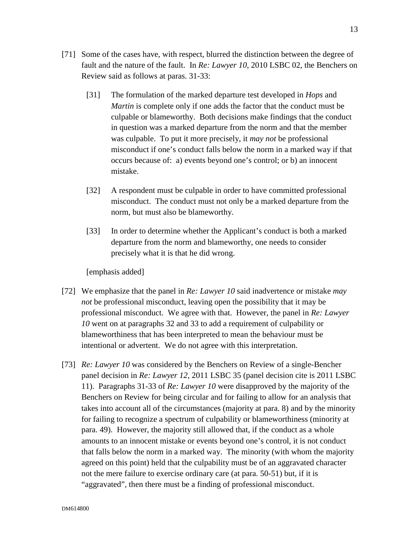- [71] Some of the cases have, with respect, blurred the distinction between the degree of fault and the nature of the fault. In *Re: Lawyer 10*, 2010 LSBC 02, the Benchers on Review said as follows at paras. 31-33:
	- [31] The formulation of the marked departure test developed in *Hops* and *Martin* is complete only if one adds the factor that the conduct must be culpable or blameworthy. Both decisions make findings that the conduct in question was a marked departure from the norm and that the member was culpable. To put it more precisely, it *may not* be professional misconduct if one's conduct falls below the norm in a marked way if that occurs because of: a) events beyond one's control; or b) an innocent mistake.
	- [32] A respondent must be culpable in order to have committed professional misconduct. The conduct must not only be a marked departure from the norm, but must also be blameworthy.
	- [33] In order to determine whether the Applicant's conduct is both a marked departure from the norm and blameworthy, one needs to consider precisely what it is that he did wrong.

[emphasis added]

- [72] We emphasize that the panel in *Re: Lawyer 10* said inadvertence or mistake *may not* be professional misconduct, leaving open the possibility that it may be professional misconduct. We agree with that. However, the panel in *Re: Lawyer 10* went on at paragraphs 32 and 33 to add a requirement of culpability or blameworthiness that has been interpreted to mean the behaviour must be intentional or advertent. We do not agree with this interpretation.
- [73] *Re: Lawyer 10* was considered by the Benchers on Review of a single-Bencher panel decision in *Re: Lawyer 12*, 2011 LSBC 35 (panel decision cite is 2011 LSBC 11). Paragraphs 31-33 of *Re: Lawyer 10* were disapproved by the majority of the Benchers on Review for being circular and for failing to allow for an analysis that takes into account all of the circumstances (majority at para. 8) and by the minority for failing to recognize a spectrum of culpability or blameworthiness (minority at para. 49). However, the majority still allowed that, if the conduct as a whole amounts to an innocent mistake or events beyond one's control, it is not conduct that falls below the norm in a marked way. The minority (with whom the majority agreed on this point) held that the culpability must be of an aggravated character not the mere failure to exercise ordinary care (at para. 50-51) but, if it is "aggravated", then there must be a finding of professional misconduct.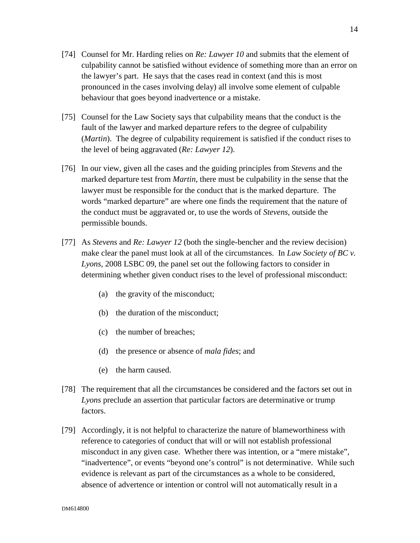- [74] Counsel for Mr. Harding relies on *Re: Lawyer 10* and submits that the element of culpability cannot be satisfied without evidence of something more than an error on the lawyer's part. He says that the cases read in context (and this is most pronounced in the cases involving delay) all involve some element of culpable behaviour that goes beyond inadvertence or a mistake.
- [75] Counsel for the Law Society says that culpability means that the conduct is the fault of the lawyer and marked departure refers to the degree of culpability (*Martin*). The degree of culpability requirement is satisfied if the conduct rises to the level of being aggravated (*Re: Lawyer 12*).
- [76] In our view, given all the cases and the guiding principles from *Stevens* and the marked departure test from *Martin*, there must be culpability in the sense that the lawyer must be responsible for the conduct that is the marked departure. The words "marked departure" are where one finds the requirement that the nature of the conduct must be aggravated or, to use the words of *Stevens*, outside the permissible bounds.
- [77] As *Stevens* and *Re: Lawyer 12* (both the single-bencher and the review decision) make clear the panel must look at all of the circumstances. In *Law Society of BC v. Lyons*, 2008 LSBC 09, the panel set out the following factors to consider in determining whether given conduct rises to the level of professional misconduct:
	- (a) the gravity of the misconduct;
	- (b) the duration of the misconduct;
	- (c) the number of breaches;
	- (d) the presence or absence of *mala fides*; and
	- (e) the harm caused.
- [78] The requirement that all the circumstances be considered and the factors set out in *Lyons* preclude an assertion that particular factors are determinative or trump factors.
- [79] Accordingly, it is not helpful to characterize the nature of blameworthiness with reference to categories of conduct that will or will not establish professional misconduct in any given case. Whether there was intention, or a "mere mistake", "inadvertence", or events "beyond one's control" is not determinative. While such evidence is relevant as part of the circumstances as a whole to be considered, absence of advertence or intention or control will not automatically result in a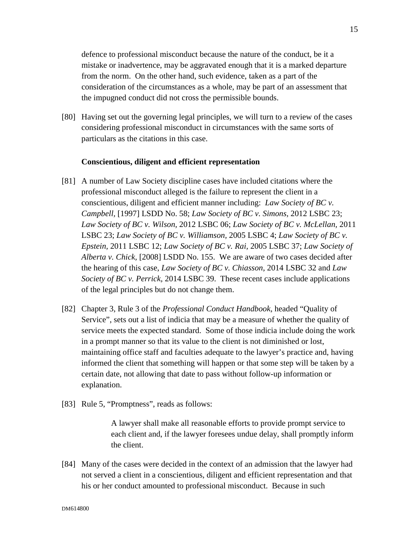defence to professional misconduct because the nature of the conduct, be it a mistake or inadvertence, may be aggravated enough that it is a marked departure from the norm. On the other hand, such evidence, taken as a part of the consideration of the circumstances as a whole, may be part of an assessment that the impugned conduct did not cross the permissible bounds.

[80] Having set out the governing legal principles, we will turn to a review of the cases considering professional misconduct in circumstances with the same sorts of particulars as the citations in this case.

#### **Conscientious, diligent and efficient representation**

- [81] A number of Law Society discipline cases have included citations where the professional misconduct alleged is the failure to represent the client in a conscientious, diligent and efficient manner including: *Law Society of BC v. Campbell,* [1997] LSDD No. 58; *Law Society of BC v. Simons,* 2012 LSBC 23; *Law Society of BC v. Wilson,* 2012 LSBC 06; *Law Society of BC v. McLellan,* 2011 LSBC 23; *Law Society of BC v. Williamson,* 2005 LSBC 4; *Law Society of BC v. Epstein,* 2011 LSBC 12; *Law Society of BC v. Rai,* 2005 LSBC 37; *Law Society of Alberta v. Chick,* [2008] LSDD No. 155. We are aware of two cases decided after the hearing of this case, *Law Society of BC v. Chiasson*, 2014 LSBC 32 and *Law Society of BC v. Perrick,* 2014 LSBC 39. These recent cases include applications of the legal principles but do not change them.
- [82] Chapter 3, Rule 3 of the *Professional Conduct Handbook*, headed "Quality of Service", sets out a list of indicia that may be a measure of whether the quality of service meets the expected standard. Some of those indicia include doing the work in a prompt manner so that its value to the client is not diminished or lost, maintaining office staff and faculties adequate to the lawyer's practice and, having informed the client that something will happen or that some step will be taken by a certain date, not allowing that date to pass without follow-up information or explanation.
- [83] Rule 5, "Promptness", reads as follows:

A lawyer shall make all reasonable efforts to provide prompt service to each client and, if the lawyer foresees undue delay, shall promptly inform the client.

[84] Many of the cases were decided in the context of an admission that the lawyer had not served a client in a conscientious, diligent and efficient representation and that his or her conduct amounted to professional misconduct. Because in such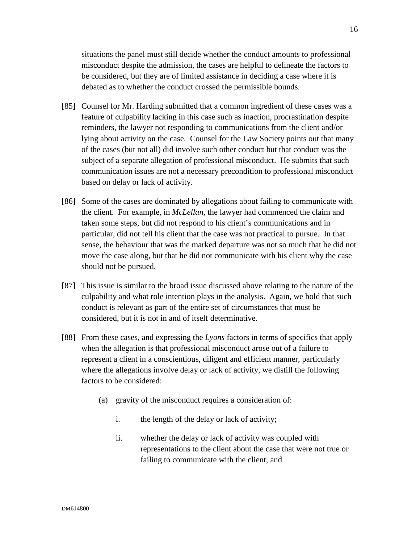situations the panel must still decide whether the conduct amounts to professional misconduct despite the admission, the cases are helpful to delineate the factors to be considered, but they are of limited assistance in deciding a case where it is debated as to whether the conduct crossed the permissible bounds.

- [85] Counsel for Mr. Harding submitted that a common ingredient of these cases was a feature of culpability lacking in this case such as inaction, procrastination despite reminders, the lawyer not responding to communications from the client and/or lying about activity on the case. Counsel for the Law Society points out that many of the cases (but not all) did involve such other conduct but that conduct was the subject of a separate allegation of professional misconduct. He submits that such communication issues are not a necessary precondition to professional misconduct based on delay or lack of activity.
- [86] Some of the cases are dominated by allegations about failing to communicate with the client. For example, in *McLellan*, the lawyer had commenced the claim and taken some steps, but did not respond to his client's communications and in particular, did not tell his client that the case was not practical to pursue. In that sense, the behaviour that was the marked departure was not so much that he did not move the case along, but that he did not communicate with his client why the case should not be pursued.
- [87] This issue is similar to the broad issue discussed above relating to the nature of the culpability and what role intention plays in the analysis. Again, we hold that such conduct is relevant as part of the entire set of circumstances that must be considered, but it is not in and of itself determinative.
- [88] From these cases, and expressing the *Lyons* factors in terms of specifics that apply when the allegation is that professional misconduct arose out of a failure to represent a client in a conscientious, diligent and efficient manner, particularly where the allegations involve delay or lack of activity, we distill the following factors to be considered:
	- (a) gravity of the misconduct requires a consideration of:
		- i. the length of the delay or lack of activity;
		- ii. whether the delay or lack of activity was coupled with representations to the client about the case that were not true or failing to communicate with the client; and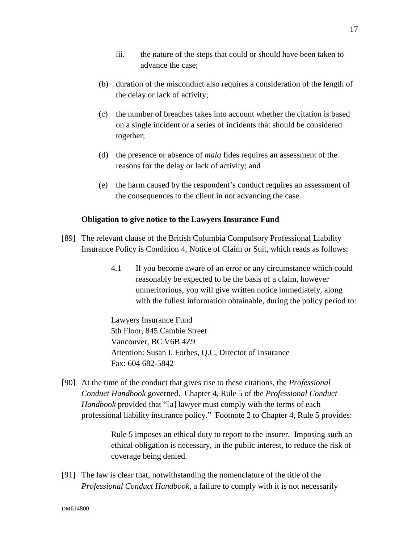17

- iii. the nature of the steps that could or should have been taken to advance the case;
- (b) duration of the misconduct also requires a consideration of the length of the delay or lack of activity;
- (c) the number of breaches takes into account whether the citation is based on a single incident or a series of incidents that should be considered together;
- (d) the presence or absence of *mala* fides requires an assessment of the reasons for the delay or lack of activity; and
- (e) the harm caused by the respondent's conduct requires an assessment of the consequences to the client in not advancing the case.

## **Obligation to give notice to the Lawyers Insurance Fund**

- [89] The relevant clause of the British Columbia Compulsory Professional Liability Insurance Policy is Condition 4, Notice of Claim or Suit, which reads as follows:
	- 4.1 If you become aware of an error or any circumstance which could reasonably be expected to be the basis of a claim, however unmeritorious, you will give written notice immediately, along with the fullest information obtainable, during the policy period to:

Lawyers Insurance Fund 5th Floor, 845 Cambie Street Vancouver, BC V6B 4Z9 Attention: Susan I. Forbes, Q.C, Director of Insurance Fax: 604 682-5842

[90] At the time of the conduct that gives rise to these citations, the *Professional Conduct Handbook* governed. Chapter 4, Rule 5 of the *Professional Conduct Handbook* provided that "[a] lawyer must comply with the terms of each professional liability insurance policy." Footnote 2 to Chapter 4, Rule 5 provides:

> Rule 5 imposes an ethical duty to report to the insurer. Imposing such an ethical obligation is necessary, in the public interest, to reduce the risk of coverage being denied.

[91] The law is clear that, notwithstanding the nomenclature of the title of the *Professional Conduct Handbook*, a failure to comply with it is not necessarily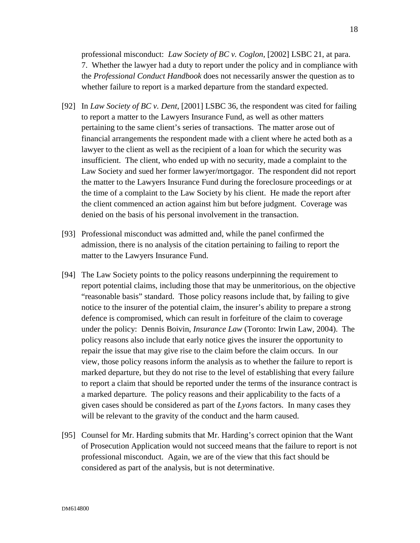professional misconduct: *Law Society of BC v. Coglon*, [2002] LSBC 21, at para. 7. Whether the lawyer had a duty to report under the policy and in compliance with the *Professional Conduct Handbook* does not necessarily answer the question as to whether failure to report is a marked departure from the standard expected.

- [92] In *Law Society of BC v. Dent*, [2001] LSBC 36, the respondent was cited for failing to report a matter to the Lawyers Insurance Fund, as well as other matters pertaining to the same client's series of transactions. The matter arose out of financial arrangements the respondent made with a client where he acted both as a lawyer to the client as well as the recipient of a loan for which the security was insufficient. The client, who ended up with no security, made a complaint to the Law Society and sued her former lawyer/mortgagor. The respondent did not report the matter to the Lawyers Insurance Fund during the foreclosure proceedings or at the time of a complaint to the Law Society by his client. He made the report after the client commenced an action against him but before judgment. Coverage was denied on the basis of his personal involvement in the transaction.
- [93] Professional misconduct was admitted and, while the panel confirmed the admission, there is no analysis of the citation pertaining to failing to report the matter to the Lawyers Insurance Fund.
- [94] The Law Society points to the policy reasons underpinning the requirement to report potential claims, including those that may be unmeritorious, on the objective "reasonable basis" standard. Those policy reasons include that, by failing to give notice to the insurer of the potential claim, the insurer's ability to prepare a strong defence is compromised, which can result in forfeiture of the claim to coverage under the policy: Dennis Boivin, *Insurance Law* (Toronto: Irwin Law*,* 2004). The policy reasons also include that early notice gives the insurer the opportunity to repair the issue that may give rise to the claim before the claim occurs. In our view, those policy reasons inform the analysis as to whether the failure to report is marked departure, but they do not rise to the level of establishing that every failure to report a claim that should be reported under the terms of the insurance contract is a marked departure. The policy reasons and their applicability to the facts of a given cases should be considered as part of the *Lyons* factors. In many cases they will be relevant to the gravity of the conduct and the harm caused.
- [95] Counsel for Mr. Harding submits that Mr. Harding's correct opinion that the Want of Prosecution Application would not succeed means that the failure to report is not professional misconduct. Again, we are of the view that this fact should be considered as part of the analysis, but is not determinative.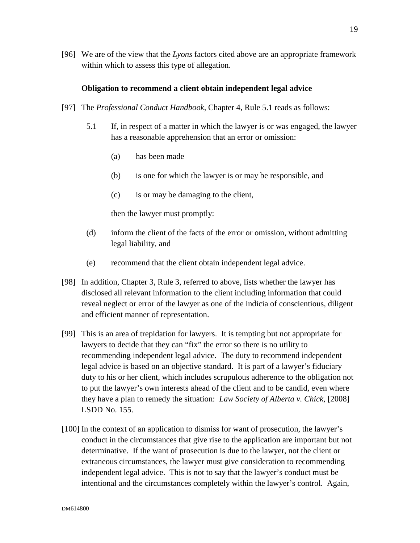[96] We are of the view that the *Lyons* factors cited above are an appropriate framework within which to assess this type of allegation.

#### **Obligation to recommend a client obtain independent legal advice**

- [97] The *Professional Conduct Handbook*, Chapter 4, Rule 5.1 reads as follows:
	- 5.1 If, in respect of a matter in which the lawyer is or was engaged, the lawyer has a reasonable apprehension that an error or omission:
		- (a) has been made
		- (b) is one for which the lawyer is or may be responsible, and
		- (c) is or may be damaging to the client,

then the lawyer must promptly:

- (d) inform the client of the facts of the error or omission, without admitting legal liability, and
- (e) recommend that the client obtain independent legal advice.
- [98] In addition, Chapter 3, Rule 3, referred to above, lists whether the lawyer has disclosed all relevant information to the client including information that could reveal neglect or error of the lawyer as one of the indicia of conscientious, diligent and efficient manner of representation.
- [99] This is an area of trepidation for lawyers. It is tempting but not appropriate for lawyers to decide that they can "fix" the error so there is no utility to recommending independent legal advice. The duty to recommend independent legal advice is based on an objective standard. It is part of a lawyer's fiduciary duty to his or her client, which includes scrupulous adherence to the obligation not to put the lawyer's own interests ahead of the client and to be candid, even where they have a plan to remedy the situation: *Law Society of Alberta v. Chick*, [2008] LSDD No. 155.
- [100] In the context of an application to dismiss for want of prosecution, the lawyer's conduct in the circumstances that give rise to the application are important but not determinative. If the want of prosecution is due to the lawyer, not the client or extraneous circumstances, the lawyer must give consideration to recommending independent legal advice. This is not to say that the lawyer's conduct must be intentional and the circumstances completely within the lawyer's control. Again,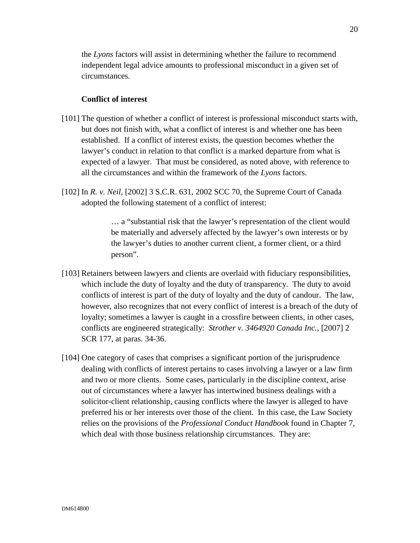the *Lyons* factors will assist in determining whether the failure to recommend independent legal advice amounts to professional misconduct in a given set of circumstances.

### **Conflict of interest**

- [101] The question of whether a conflict of interest is professional misconduct starts with, but does not finish with, what a conflict of interest is and whether one has been established. If a conflict of interest exists, the question becomes whether the lawyer's conduct in relation to that conflict is a marked departure from what is expected of a lawyer. That must be considered, as noted above, with reference to all the circumstances and within the framework of the *Lyons* factors.
- [102] In *R. v. Neil,* [2002] 3 S.C.R. 631, 2002 SCC 70, the Supreme Court of Canada adopted the following statement of a conflict of interest:

… a "substantial risk that the lawyer's representation of the client would be materially and adversely affected by the lawyer's own interests or by the lawyer's duties to another current client, a former client, or a third person".

- [103] Retainers between lawyers and clients are overlaid with fiduciary responsibilities, which include the duty of loyalty and the duty of transparency. The duty to avoid conflicts of interest is part of the duty of loyalty and the duty of candour. The law, however, also recognizes that not every conflict of interest is a breach of the duty of loyalty; sometimes a lawyer is caught in a crossfire between clients, in other cases, conflicts are engineered strategically: *Strother v. 3464920 Canada Inc.*, [2007] 2 SCR 177, at paras. 34-36.
- [104] One category of cases that comprises a significant portion of the jurisprudence dealing with conflicts of interest pertains to cases involving a lawyer or a law firm and two or more clients. Some cases, particularly in the discipline context, arise out of circumstances where a lawyer has intertwined business dealings with a solicitor-client relationship, causing conflicts where the lawyer is alleged to have preferred his or her interests over those of the client. In this case, the Law Society relies on the provisions of the *Professional Conduct Handbook* found in Chapter 7, which deal with those business relationship circumstances. They are: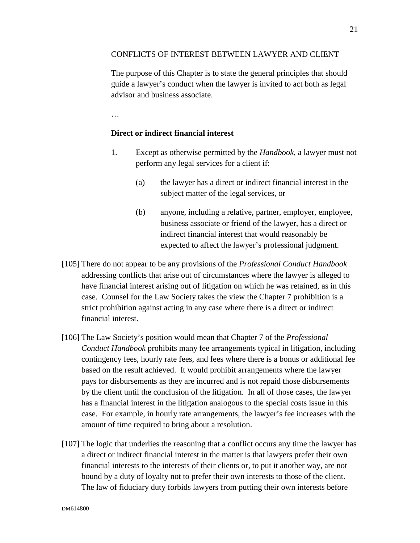### CONFLICTS OF INTEREST BETWEEN LAWYER AND CLIENT

The purpose of this Chapter is to state the general principles that should guide a lawyer's conduct when the lawyer is invited to act both as legal advisor and business associate.

…

# **Direct or indirect financial interest**

- 1. Except as otherwise permitted by the *Handbook*, a lawyer must not perform any legal services for a client if:
	- (a) the lawyer has a direct or indirect financial interest in the subject matter of the legal services, or
	- (b) anyone, including a relative, partner, employer, employee, business associate or friend of the lawyer, has a direct or indirect financial interest that would reasonably be expected to affect the lawyer's professional judgment.
- [105] There do not appear to be any provisions of the *Professional Conduct Handbook*  addressing conflicts that arise out of circumstances where the lawyer is alleged to have financial interest arising out of litigation on which he was retained, as in this case. Counsel for the Law Society takes the view the Chapter 7 prohibition is a strict prohibition against acting in any case where there is a direct or indirect financial interest.
- [106] The Law Society's position would mean that Chapter 7 of the *Professional Conduct Handbook* prohibits many fee arrangements typical in litigation, including contingency fees, hourly rate fees, and fees where there is a bonus or additional fee based on the result achieved. It would prohibit arrangements where the lawyer pays for disbursements as they are incurred and is not repaid those disbursements by the client until the conclusion of the litigation. In all of those cases, the lawyer has a financial interest in the litigation analogous to the special costs issue in this case. For example, in hourly rate arrangements, the lawyer's fee increases with the amount of time required to bring about a resolution.
- [107] The logic that underlies the reasoning that a conflict occurs any time the lawyer has a direct or indirect financial interest in the matter is that lawyers prefer their own financial interests to the interests of their clients or, to put it another way, are not bound by a duty of loyalty not to prefer their own interests to those of the client. The law of fiduciary duty forbids lawyers from putting their own interests before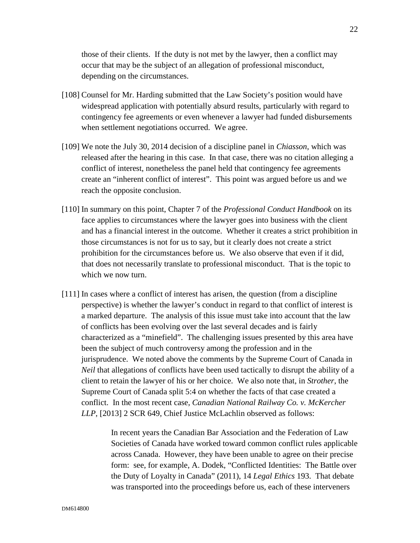those of their clients. If the duty is not met by the lawyer, then a conflict may occur that may be the subject of an allegation of professional misconduct, depending on the circumstances.

- [108] Counsel for Mr. Harding submitted that the Law Society's position would have widespread application with potentially absurd results, particularly with regard to contingency fee agreements or even whenever a lawyer had funded disbursements when settlement negotiations occurred. We agree.
- [109] We note the July 30, 2014 decision of a discipline panel in *Chiasson*, which was released after the hearing in this case. In that case, there was no citation alleging a conflict of interest, nonetheless the panel held that contingency fee agreements create an "inherent conflict of interest". This point was argued before us and we reach the opposite conclusion.
- [110] In summary on this point, Chapter 7 of the *Professional Conduct Handbook* on its face applies to circumstances where the lawyer goes into business with the client and has a financial interest in the outcome. Whether it creates a strict prohibition in those circumstances is not for us to say, but it clearly does not create a strict prohibition for the circumstances before us. We also observe that even if it did, that does not necessarily translate to professional misconduct. That is the topic to which we now turn.
- [111] In cases where a conflict of interest has arisen, the question (from a discipline perspective) is whether the lawyer's conduct in regard to that conflict of interest is a marked departure. The analysis of this issue must take into account that the law of conflicts has been evolving over the last several decades and is fairly characterized as a "minefield". The challenging issues presented by this area have been the subject of much controversy among the profession and in the jurisprudence. We noted above the comments by the Supreme Court of Canada in *Neil* that allegations of conflicts have been used tactically to disrupt the ability of a client to retain the lawyer of his or her choice. We also note that, in *Strother*, the Supreme Court of Canada split 5:4 on whether the facts of that case created a conflict. In the most recent case, *Canadian National Railway Co. v. McKercher LLP*, [2013] 2 SCR 649, Chief Justice McLachlin observed as follows:

In recent years the Canadian Bar Association and the Federation of Law Societies of Canada have worked toward common conflict rules applicable across Canada. However, they have been unable to agree on their precise form: see, for example, A. Dodek, "Conflicted Identities: The Battle over the Duty of Loyalty in Canada" (2011), 14 *Legal Ethics* 193. That debate was transported into the proceedings before us, each of these interveners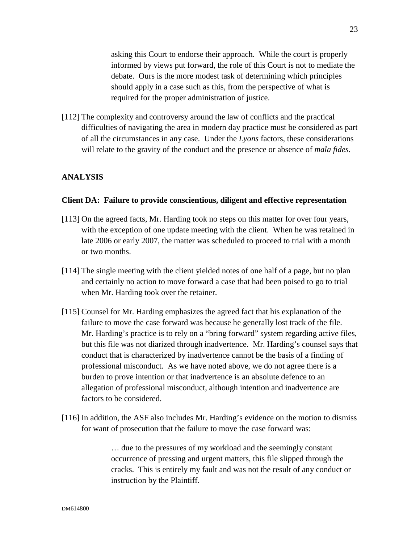asking this Court to endorse their approach. While the court is properly informed by views put forward, the role of this Court is not to mediate the debate. Ours is the more modest task of determining which principles should apply in a case such as this, from the perspective of what is required for the proper administration of justice.

[112] The complexity and controversy around the law of conflicts and the practical difficulties of navigating the area in modern day practice must be considered as part of all the circumstances in any case. Under the *Lyons* factors, these considerations will relate to the gravity of the conduct and the presence or absence of *mala fides*.

### **ANALYSIS**

#### **Client DA: Failure to provide conscientious, diligent and effective representation**

- [113] On the agreed facts, Mr. Harding took no steps on this matter for over four years, with the exception of one update meeting with the client. When he was retained in late 2006 or early 2007, the matter was scheduled to proceed to trial with a month or two months.
- [114] The single meeting with the client yielded notes of one half of a page, but no plan and certainly no action to move forward a case that had been poised to go to trial when Mr. Harding took over the retainer.
- [115] Counsel for Mr. Harding emphasizes the agreed fact that his explanation of the failure to move the case forward was because he generally lost track of the file. Mr. Harding's practice is to rely on a "bring forward" system regarding active files, but this file was not diarized through inadvertence. Mr. Harding's counsel says that conduct that is characterized by inadvertence cannot be the basis of a finding of professional misconduct. As we have noted above, we do not agree there is a burden to prove intention or that inadvertence is an absolute defence to an allegation of professional misconduct, although intention and inadvertence are factors to be considered.
- [116] In addition, the ASF also includes Mr. Harding's evidence on the motion to dismiss for want of prosecution that the failure to move the case forward was:

… due to the pressures of my workload and the seemingly constant occurrence of pressing and urgent matters, this file slipped through the cracks. This is entirely my fault and was not the result of any conduct or instruction by the Plaintiff.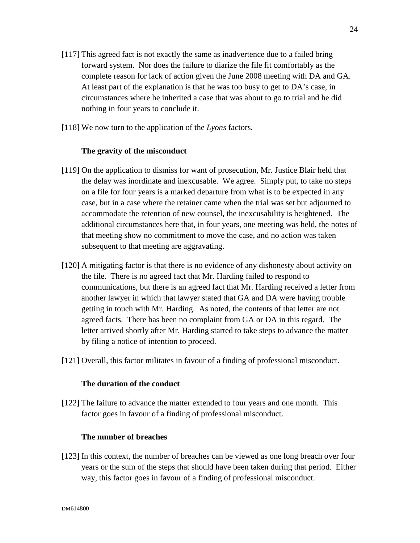- [117] This agreed fact is not exactly the same as inadvertence due to a failed bring forward system. Nor does the failure to diarize the file fit comfortably as the complete reason for lack of action given the June 2008 meeting with DA and GA. At least part of the explanation is that he was too busy to get to DA's case, in circumstances where he inherited a case that was about to go to trial and he did nothing in four years to conclude it.
- [118] We now turn to the application of the *Lyons* factors.

### **The gravity of the misconduct**

- [119] On the application to dismiss for want of prosecution, Mr. Justice Blair held that the delay was inordinate and inexcusable. We agree. Simply put, to take no steps on a file for four years is a marked departure from what is to be expected in any case, but in a case where the retainer came when the trial was set but adjourned to accommodate the retention of new counsel, the inexcusability is heightened. The additional circumstances here that, in four years, one meeting was held, the notes of that meeting show no commitment to move the case, and no action was taken subsequent to that meeting are aggravating.
- [120] A mitigating factor is that there is no evidence of any dishonesty about activity on the file. There is no agreed fact that Mr. Harding failed to respond to communications, but there is an agreed fact that Mr. Harding received a letter from another lawyer in which that lawyer stated that GA and DA were having trouble getting in touch with Mr. Harding. As noted, the contents of that letter are not agreed facts. There has been no complaint from GA or DA in this regard. The letter arrived shortly after Mr. Harding started to take steps to advance the matter by filing a notice of intention to proceed.
- [121] Overall, this factor militates in favour of a finding of professional misconduct.

#### **The duration of the conduct**

[122] The failure to advance the matter extended to four years and one month. This factor goes in favour of a finding of professional misconduct.

#### **The number of breaches**

[123] In this context, the number of breaches can be viewed as one long breach over four years or the sum of the steps that should have been taken during that period. Either way, this factor goes in favour of a finding of professional misconduct.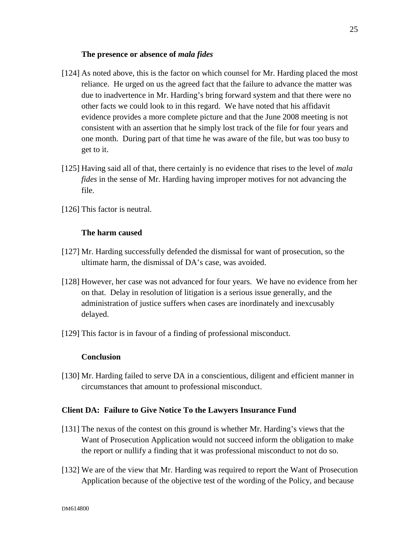### **The presence or absence of** *mala fides*

- [124] As noted above, this is the factor on which counsel for Mr. Harding placed the most reliance. He urged on us the agreed fact that the failure to advance the matter was due to inadvertence in Mr. Harding's bring forward system and that there were no other facts we could look to in this regard. We have noted that his affidavit evidence provides a more complete picture and that the June 2008 meeting is not consistent with an assertion that he simply lost track of the file for four years and one month. During part of that time he was aware of the file, but was too busy to get to it.
- [125] Having said all of that, there certainly is no evidence that rises to the level of *mala fides* in the sense of Mr. Harding having improper motives for not advancing the file.
- [126] This factor is neutral.

## **The harm caused**

- [127] Mr. Harding successfully defended the dismissal for want of prosecution, so the ultimate harm, the dismissal of DA's case, was avoided.
- [128] However, her case was not advanced for four years. We have no evidence from her on that. Delay in resolution of litigation is a serious issue generally, and the administration of justice suffers when cases are inordinately and inexcusably delayed.
- [129] This factor is in favour of a finding of professional misconduct.

## **Conclusion**

[130] Mr. Harding failed to serve DA in a conscientious, diligent and efficient manner in circumstances that amount to professional misconduct.

## **Client DA: Failure to Give Notice To the Lawyers Insurance Fund**

- [131] The nexus of the contest on this ground is whether Mr. Harding's views that the Want of Prosecution Application would not succeed inform the obligation to make the report or nullify a finding that it was professional misconduct to not do so.
- [132] We are of the view that Mr. Harding was required to report the Want of Prosecution Application because of the objective test of the wording of the Policy, and because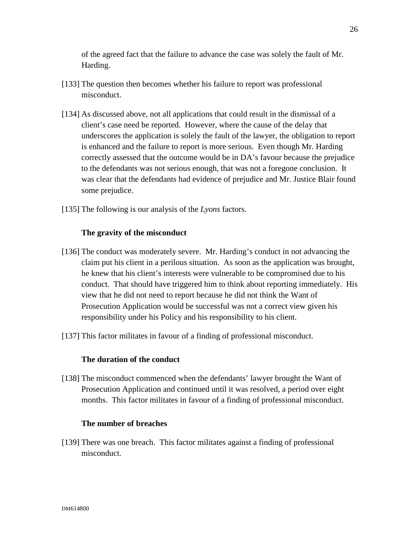of the agreed fact that the failure to advance the case was solely the fault of Mr. Harding.

- [133] The question then becomes whether his failure to report was professional misconduct.
- [134] As discussed above, not all applications that could result in the dismissal of a client's case need be reported. However, where the cause of the delay that underscores the application is solely the fault of the lawyer, the obligation to report is enhanced and the failure to report is more serious. Even though Mr. Harding correctly assessed that the outcome would be in DA's favour because the prejudice to the defendants was not serious enough, that was not a foregone conclusion. It was clear that the defendants had evidence of prejudice and Mr. Justice Blair found some prejudice.
- [135] The following is our analysis of the *Lyons* factors.

## **The gravity of the misconduct**

- [136] The conduct was moderately severe. Mr. Harding's conduct in not advancing the claim put his client in a perilous situation. As soon as the application was brought, he knew that his client's interests were vulnerable to be compromised due to his conduct. That should have triggered him to think about reporting immediately. His view that he did not need to report because he did not think the Want of Prosecution Application would be successful was not a correct view given his responsibility under his Policy and his responsibility to his client.
- [137] This factor militates in favour of a finding of professional misconduct.

## **The duration of the conduct**

[138] The misconduct commenced when the defendants' lawyer brought the Want of Prosecution Application and continued until it was resolved, a period over eight months. This factor militates in favour of a finding of professional misconduct.

### **The number of breaches**

[139] There was one breach. This factor militates against a finding of professional misconduct.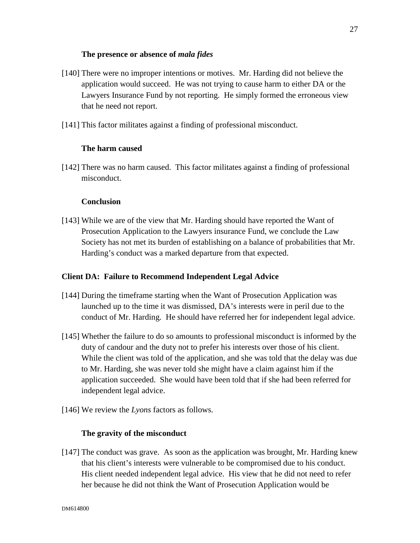### **The presence or absence of** *mala fides*

- [140] There were no improper intentions or motives. Mr. Harding did not believe the application would succeed. He was not trying to cause harm to either DA or the Lawyers Insurance Fund by not reporting. He simply formed the erroneous view that he need not report.
- [141] This factor militates against a finding of professional misconduct.

## **The harm caused**

[142] There was no harm caused. This factor militates against a finding of professional misconduct.

## **Conclusion**

[143] While we are of the view that Mr. Harding should have reported the Want of Prosecution Application to the Lawyers insurance Fund, we conclude the Law Society has not met its burden of establishing on a balance of probabilities that Mr. Harding's conduct was a marked departure from that expected.

## **Client DA: Failure to Recommend Independent Legal Advice**

- [144] During the timeframe starting when the Want of Prosecution Application was launched up to the time it was dismissed, DA's interests were in peril due to the conduct of Mr. Harding. He should have referred her for independent legal advice.
- [145] Whether the failure to do so amounts to professional misconduct is informed by the duty of candour and the duty not to prefer his interests over those of his client. While the client was told of the application, and she was told that the delay was due to Mr. Harding, she was never told she might have a claim against him if the application succeeded. She would have been told that if she had been referred for independent legal advice.
- [146] We review the *Lyons* factors as follows.

## **The gravity of the misconduct**

[147] The conduct was grave. As soon as the application was brought, Mr. Harding knew that his client's interests were vulnerable to be compromised due to his conduct. His client needed independent legal advice. His view that he did not need to refer her because he did not think the Want of Prosecution Application would be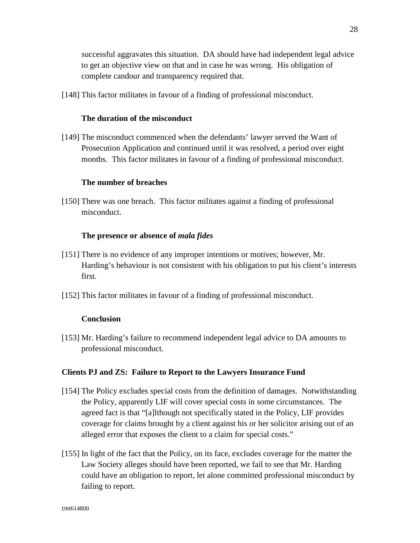successful aggravates this situation. DA should have had independent legal advice to get an objective view on that and in case he was wrong. His obligation of complete candour and transparency required that.

[148] This factor militates in favour of a finding of professional misconduct.

### **The duration of the misconduct**

[149] The misconduct commenced when the defendants' lawyer served the Want of Prosecution Application and continued until it was resolved, a period over eight months. This factor militates in favour of a finding of professional misconduct.

#### **The number of breaches**

[150] There was one breach. This factor militates against a finding of professional misconduct.

#### **The presence or absence of** *mala fides*

- [151] There is no evidence of any improper intentions or motives; however, Mr. Harding's behaviour is not consistent with his obligation to put his client's interests first.
- [152] This factor militates in favour of a finding of professional misconduct.

#### **Conclusion**

[153] Mr. Harding's failure to recommend independent legal advice to DA amounts to professional misconduct.

#### **Clients PJ and ZS: Failure to Report to the Lawyers Insurance Fund**

- [154] The Policy excludes special costs from the definition of damages. Notwithstanding the Policy, apparently LIF will cover special costs in some circumstances. The agreed fact is that "[a]lthough not specifically stated in the Policy, LIF provides coverage for claims brought by a client against his or her solicitor arising out of an alleged error that exposes the client to a claim for special costs."
- [155] In light of the fact that the Policy, on its face, excludes coverage for the matter the Law Society alleges should have been reported, we fail to see that Mr. Harding could have an obligation to report, let alone committed professional misconduct by failing to report.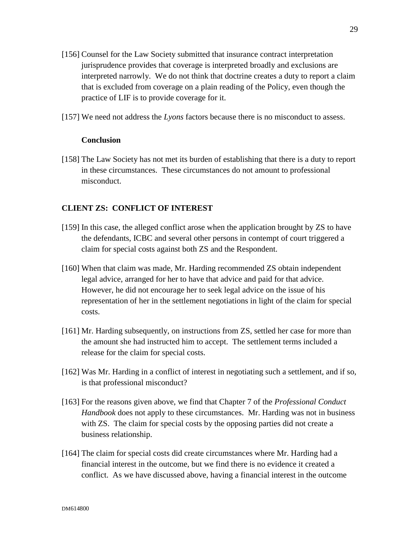- [156] Counsel for the Law Society submitted that insurance contract interpretation jurisprudence provides that coverage is interpreted broadly and exclusions are interpreted narrowly. We do not think that doctrine creates a duty to report a claim that is excluded from coverage on a plain reading of the Policy, even though the practice of LIF is to provide coverage for it.
- [157] We need not address the *Lyons* factors because there is no misconduct to assess.

### **Conclusion**

[158] The Law Society has not met its burden of establishing that there is a duty to report in these circumstances. These circumstances do not amount to professional misconduct.

### **CLIENT ZS: CONFLICT OF INTEREST**

- [159] In this case, the alleged conflict arose when the application brought by ZS to have the defendants, ICBC and several other persons in contempt of court triggered a claim for special costs against both ZS and the Respondent.
- [160] When that claim was made, Mr. Harding recommended ZS obtain independent legal advice, arranged for her to have that advice and paid for that advice. However, he did not encourage her to seek legal advice on the issue of his representation of her in the settlement negotiations in light of the claim for special costs.
- [161] Mr. Harding subsequently, on instructions from ZS, settled her case for more than the amount she had instructed him to accept. The settlement terms included a release for the claim for special costs.
- [162] Was Mr. Harding in a conflict of interest in negotiating such a settlement, and if so, is that professional misconduct?
- [163] For the reasons given above, we find that Chapter 7 of the *Professional Conduct Handbook* does not apply to these circumstances. Mr. Harding was not in business with ZS. The claim for special costs by the opposing parties did not create a business relationship.
- [164] The claim for special costs did create circumstances where Mr. Harding had a financial interest in the outcome, but we find there is no evidence it created a conflict. As we have discussed above, having a financial interest in the outcome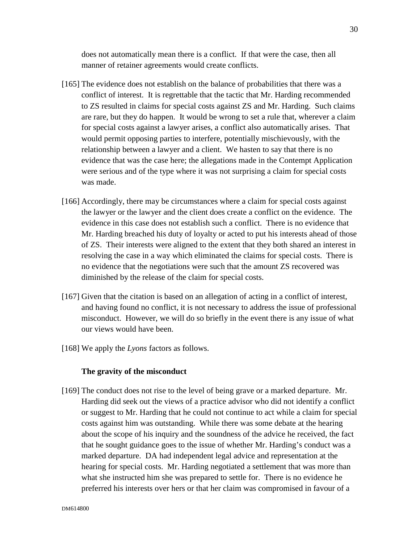does not automatically mean there is a conflict. If that were the case, then all manner of retainer agreements would create conflicts.

- [165] The evidence does not establish on the balance of probabilities that there was a conflict of interest. It is regrettable that the tactic that Mr. Harding recommended to ZS resulted in claims for special costs against ZS and Mr. Harding. Such claims are rare, but they do happen. It would be wrong to set a rule that, wherever a claim for special costs against a lawyer arises, a conflict also automatically arises. That would permit opposing parties to interfere, potentially mischievously, with the relationship between a lawyer and a client. We hasten to say that there is no evidence that was the case here; the allegations made in the Contempt Application were serious and of the type where it was not surprising a claim for special costs was made.
- [166] Accordingly, there may be circumstances where a claim for special costs against the lawyer or the lawyer and the client does create a conflict on the evidence. The evidence in this case does not establish such a conflict. There is no evidence that Mr. Harding breached his duty of loyalty or acted to put his interests ahead of those of ZS. Their interests were aligned to the extent that they both shared an interest in resolving the case in a way which eliminated the claims for special costs. There is no evidence that the negotiations were such that the amount ZS recovered was diminished by the release of the claim for special costs.
- [167] Given that the citation is based on an allegation of acting in a conflict of interest, and having found no conflict, it is not necessary to address the issue of professional misconduct. However, we will do so briefly in the event there is any issue of what our views would have been.
- [168] We apply the *Lyons* factors as follows.

#### **The gravity of the misconduct**

[169] The conduct does not rise to the level of being grave or a marked departure. Mr. Harding did seek out the views of a practice advisor who did not identify a conflict or suggest to Mr. Harding that he could not continue to act while a claim for special costs against him was outstanding. While there was some debate at the hearing about the scope of his inquiry and the soundness of the advice he received, the fact that he sought guidance goes to the issue of whether Mr. Harding's conduct was a marked departure. DA had independent legal advice and representation at the hearing for special costs. Mr. Harding negotiated a settlement that was more than what she instructed him she was prepared to settle for. There is no evidence he preferred his interests over hers or that her claim was compromised in favour of a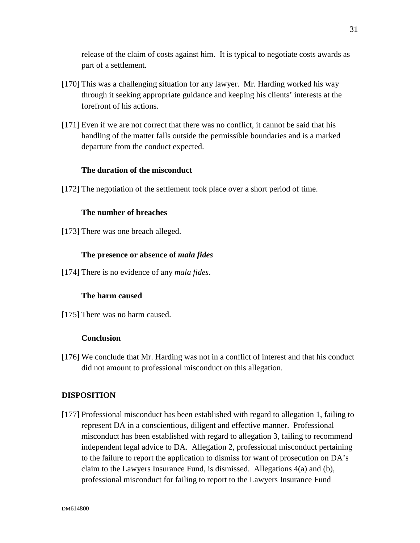release of the claim of costs against him. It is typical to negotiate costs awards as part of a settlement.

- [170] This was a challenging situation for any lawyer. Mr. Harding worked his way through it seeking appropriate guidance and keeping his clients' interests at the forefront of his actions.
- [171] Even if we are not correct that there was no conflict, it cannot be said that his handling of the matter falls outside the permissible boundaries and is a marked departure from the conduct expected.

## **The duration of the misconduct**

[172] The negotiation of the settlement took place over a short period of time.

### **The number of breaches**

[173] There was one breach alleged.

#### **The presence or absence of** *mala fides*

[174] There is no evidence of any *mala fides*.

### **The harm caused**

[175] There was no harm caused.

#### **Conclusion**

[176] We conclude that Mr. Harding was not in a conflict of interest and that his conduct did not amount to professional misconduct on this allegation.

#### **DISPOSITION**

[177] Professional misconduct has been established with regard to allegation 1, failing to represent DA in a conscientious, diligent and effective manner. Professional misconduct has been established with regard to allegation 3, failing to recommend independent legal advice to DA. Allegation 2, professional misconduct pertaining to the failure to report the application to dismiss for want of prosecution on DA's claim to the Lawyers Insurance Fund, is dismissed. Allegations 4(a) and (b), professional misconduct for failing to report to the Lawyers Insurance Fund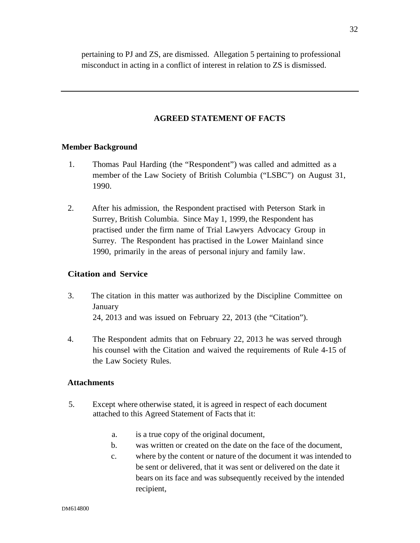pertaining to PJ and ZS, are dismissed. Allegation 5 pertaining to professional misconduct in acting in a conflict of interest in relation to ZS is dismissed.

# **AGREED STATEMENT OF FACTS**

### **Member Background**

- 1. Thomas Paul Harding (the "Respondent") was called and admitted as a member of the Law Society of British Columbia ("LSBC") on August 31, 1990.
- 2. After his admission, the Respondent practised with Peterson Stark in Surrey, British Columbia. Since May 1, 1999, the Respondent has practised under the firm name of Trial Lawyers Advocacy Group in Surrey. The Respondent has practised in the Lower Mainland since 1990, primarily in the areas of personal injury and family law.

### **Citation and Service**

- 3. The citation in this matter was authorized by the Discipline Committee on January 24, 2013 and was issued on February 22, 2013 (the "Citation").
- 4. The Respondent admits that on February 22, 2013 he was served through his counsel with the Citation and waived the requirements of Rule 4-15 of the Law Society Rules.

#### **Attachments**

- 5. Except where otherwise stated, it is agreed in respect of each document attached to this Agreed Statement of Facts that it:
	- a. is a true copy of the original document,
	- b. was written or created on the date on the face of the document,
	- c. where by the content or nature of the document it was intended to be sent or delivered, that it was sent or delivered on the date it bears on its face and was subsequently received by the intended recipient,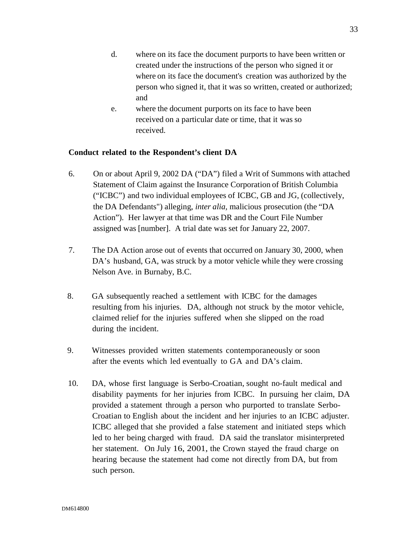- 
- d. where on its face the document purports to have been written or created under the instructions of the person who signed it or where on its face the document's creation was authorized by the person who signed it, that it was so written, created or authorized; and
- e. where the document purports on its face to have been received on a particular date or time, that it was so received.

## **Conduct related to the Respondent's client DA**

- 6. On or about April 9, 2002 DA ("DA") filed a Writ of Summons with attached Statement of Claim against the Insurance Corporation of British Columbia ("ICBC") and two individual employees of ICBC, GB and JG, (collectively, the DA Defendants") alleging, *inter alia,* malicious prosecution (the "DA Action"). Her lawyer at that time was DR and the Court File Number assigned was [number]. A trial date was set for January 22, 2007.
- 7. The DA Action arose out of events that occurred on January 30, 2000, when DA's husband, GA, was struck by a motor vehicle while they were crossing Nelson Ave. in Burnaby, B.C.
- 8. GA subsequently reached a settlement with ICBC for the damages resulting from his injuries. DA, although not struck by the motor vehicle, claimed relief for the injuries suffered when she slipped on the road during the incident.
- 9. Witnesses provided written statements contemporaneously or soon after the events which led eventually to GA and DA's claim.
- 10. DA, whose first language is Serbo-Croatian, sought no-fault medical and disability payments for her injuries from ICBC. In pursuing her claim, DA provided a statement through a person who purported to translate Serbo-Croatian to English about the incident and her injuries to an ICBC adjuster. ICBC alleged that she provided a false statement and initiated steps which led to her being charged with fraud. DA said the translator misinterpreted her statement. On July 16, 2001, the Crown stayed the fraud charge on hearing because the statement had come not directly from DA, but from such person.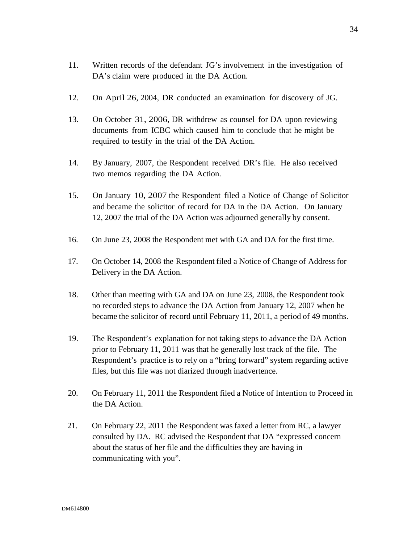- 11. Written records of the defendant JG's involvement in the investigation of DA's claim were produced in the DA Action.
- 12. On April 26, 2004, DR conducted an examination for discovery of JG.
- 13. On October 31, 2006, DR withdrew as counsel for DA upon reviewing documents from ICBC which caused him to conclude that he might be required to testify in the trial of the DA Action.
- 14. By January, 2007, the Respondent received DR's file. He also received two memos regarding the DA Action.
- 15. On January 10, 2007 the Respondent filed a Notice of Change of Solicitor and became the solicitor of record for DA in the DA Action. On January 12, 2007 the trial of the DA Action was adjourned generally by consent.
- 16. On June 23, 2008 the Respondent met with GA and DA for the first time.
- 17. On October 14, 2008 the Respondent filed a Notice of Change of Address for Delivery in the DA Action.
- 18. Other than meeting with GA and DA on June 23, 2008, the Respondent took no recorded steps to advance the DA Action from January 12, 2007 when he became the solicitor of record until February 11, 2011, a period of 49 months.
- 19. The Respondent's explanation for not taking steps to advance the DA Action prior to February 11, 2011 was that he generally lost track of the file. The Respondent's practice is to rely on a "bring forward" system regarding active files, but this file was not diarized through inadvertence.
- 20. On February 11, 2011 the Respondent filed a Notice of lntention to Proceed in the DA Action.
- 21. On February 22, 2011 the Respondent was faxed a letter from RC, a lawyer consulted by DA. RC advised the Respondent that DA "expressed concern about the status of her file and the difficulties they are having in communicating with you".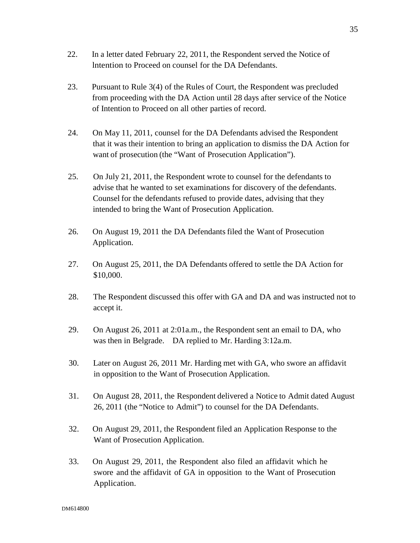- 22. In a letter dated February 22, 2011, the Respondent served the Notice of lntention to Proceed on counsel for the DA Defendants.
- 23. Pursuant to Rule 3(4) of the Rules of Court, the Respondent was precluded from proceeding with the DA Action until 28 days after service of the Notice of Intention to Proceed on all other parties of record.
- 24. On May 11, 2011, counsel for the DA Defendants advised the Respondent that it was their intention to bring an application to dismiss the DA Action for want of prosecution (the "Want of Prosecution Application").
- 25. On July 21, 2011, the Respondent wrote to counsel for the defendants to advise that he wanted to set examinations for discovery of the defendants. Counsel for the defendants refused to provide dates, advising that they intended to bring the Want of Prosecution Application.
- 26. On August 19, 2011 the DA Defendants filed the Want of Prosecution Application.
- 27. On August 25, 2011, the DA Defendants offered to settle the DA Action for \$10,000.
- 28. The Respondent discussed this offer with GA and DA and was instructed not to accept it.
- 29. On August 26, 2011 at 2:01a.m., the Respondent sent an email to DA, who was then in Belgrade. DA replied to Mr. Harding 3:12a.m.
- 30. Later on August 26, 2011 Mr. Harding met with GA, who swore an affidavit in opposition to the Want of Prosecution Application.
- 31. On August 28, 2011, the Respondent delivered a Notice to Admit dated August 26, 2011 (the "Notice to Admit") to counsel for the DA Defendants.
- 32. On August 29, 2011, the Respondent filed an Application Response to the Want of Prosecution Application.
- 33. On August 29, 2011, the Respondent also filed an affidavit which he swore and the affidavit of GA in opposition to the Want of Prosecution Application.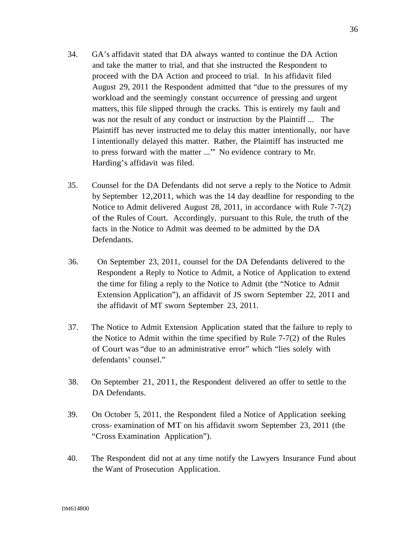- 34. GA's affidavit stated that DA always wanted to continue the DA Action and take the matter to trial, and that she instructed the Respondent to proceed with the DA Action and proceed to trial. In his affidavit filed August 29, 2011 the Respondent admitted that "due to the pressures of my workload and the seemingly constant occurrence of pressing and urgent matters, this file slipped through the cracks. This is entirely my fault and was not the result of any conduct or instruction by the Plaintiff ... The Plaintiff has never instructed me to delay this matter intentionally, nor have I intentionally delayed this matter. Rather, the Plaintiff has instructed me to press forward with the matter ..." No evidence contrary to Mr. Harding's affidavit was filed.
- 35. Counsel for the DA Defendants did not serve a reply to the Notice to Admit by September 12,2011, which was the 14 day deadline for responding to the Notice to Admit delivered August 28, 2011, in accordance with Rule 7-7(2) of the Rules of Court.Accordingly, pursuant to this Rule, the truth of the facts in the Notice to Admit was deemed to be admitted by the DA Defendants.
- 36. On September 23, 2011, counsel for the DA Defendants delivered to the Respondent a Reply to Notice to Admit, a Notice of Application to extend the time for filing a reply to the Notice to Admit (the "Notice to Admit Extension Application"), an affidavit of JS sworn September 22, 2011 and the affidavit of MT sworn September 23, 2011.
- 37. The Notice to Admit Extension Application stated that the failure to reply to the Notice to Admit within the time specified by Rule 7-7(2) of the Rules of Court was "due to an administrative error" which "lies solely with defendants' counsel."
- 38. On September 21, 2011, the Respondent delivered an offer to settle to the DA Defendants.
- 39. On October 5, 2011, the Respondent filed a Notice of Application seeking cross- examination of MT on his affidavit sworn September 23, 2011 (the "Cross Examination Application").
- 40. The Respondent did not at any time notify the Lawyers Insurance Fund about the Want of Prosecution Application.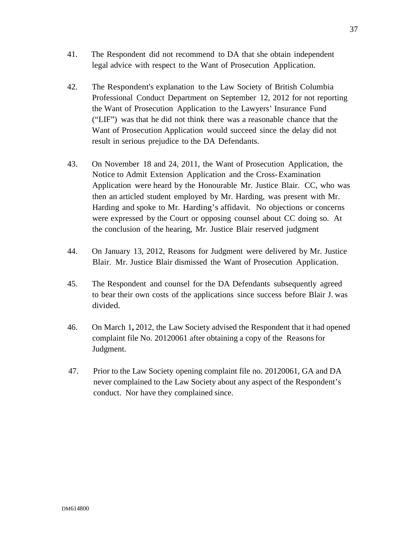- 41. The Respondent did not recommend to DA that she obtain independent legal advice with respect to the Want of Prosecution Application.
- 42. The Respondent's explanation to the Law Society of British Columbia Professional Conduct Department on September 12, 2012 for not reporting the Want of Prosecution Application to the Lawyers' Insurance Fund ("LIF") was that he did not think there was a reasonable chance that the Want of Prosecution Application would succeed since the delay did not result in serious prejudice to the DA Defendants.
- 43. On November 18 and 24, 2011, the Want of Prosecution Application, the Notice to Admit Extension Application and the Cross-Examination Application were heard by the Honourable Mr. Justice Blair. CC, who was then an articled student employed by Mr. Harding, was present with Mr. Harding and spoke to Mr. Harding's affidavit. No objections or concerns were expressed by the Court or opposing counsel about CC doing so. At the conclusion of the hearing, Mr. Justice Blair reserved judgment
- 44. On January 13, 2012, Reasons for Judgment were delivered by Mr. Justice Blair. Mr. Justice Blair dismissed the Want of Prosecution Application.
- 45. The Respondent and counsel for the DA Defendants subsequently agreed to bear their own costs of the applications since success before Blair J. was divided.
- 46. On March 1**,** 2012, the Law Society advised the Respondent that it had opened complaint file No. 20120061 after obtaining a copy of the Reasons for Judgment.
- 47. Prior to the Law Society opening complaint file no. 20120061, GA and DA never complained to the Law Society about any aspect of the Respondent's conduct. Nor have they complained since.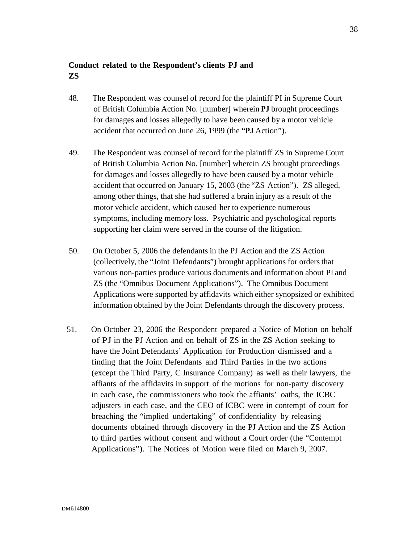# **Conduct related to the Respondent's clients PJ and ZS**

- 48. The Respondent was counsel of record for the plaintiff PI in Supreme Court of British Columbia Action No. [number] wherein **PJ** brought proceedings for damages and losses allegedly to have been caused by a motor vehicle accident that occurred on June 26, 1999 (the **"PJ** Action").
- 49. The Respondent was counsel of record for the plaintiff ZS in Supreme Court of British Columbia Action No. [number] wherein ZS brought proceedings for damages and losses allegedly to have been caused by a motor vehicle accident that occurred on January 15, 2003 (the "ZS Action"). ZS alleged, among other things, that she had suffered a brain injury as a result of the motor vehicle accident, which caused her to experience numerous symptoms, including memory loss. Psychiatric and pyschological reports supporting her claim were served in the course of the litigation.
- 50. On October 5, 2006 the defendants in the PJ Action and the ZS Action (collectively, the "Joint Defendants") brought applications for orders that various non-parties produce various documents and information about PI and ZS (the "Omnibus Document Applications"). The Omnibus Document Applications were supported by affidavits which either synopsized or exhibited information obtained by the Joint Defendants through the discovery process.
- 51. On October 23, 2006 the Respondent prepared a Notice of Motion on behalf of PJ in the PJ Action and on behalf of ZS in the ZS Action seeking to have the Joint Defendants' Application for Production dismissed and a finding that the Joint Defendants and Third Parties in the two actions (except the Third Party, C Insurance Company) as well as their lawyers, the affiants of the affidavits in support of the motions for non-party discovery in each case, the commissioners who took the affiants' oaths, the ICBC adjusters in each case, and the CEO of ICBC were in contempt of court for breaching the "implied undertaking" of confidentiality by releasing documents obtained through discovery in the PJ Action and the ZS Action to third parties without consent and without a Court order (the "Contempt Applications"). The Notices of Motion were filed on March 9, 2007.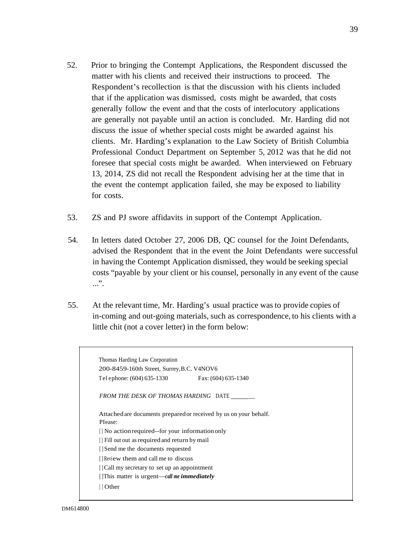- 52. Prior to bringing the Contempt Applications, the Respondent discussed the matter with his clients and received their instructions to proceed. The Respondent's recollection is that the discussion with his clients included that if the application was dismissed, costs might be awarded, that costs generally follow the event and that the costs of interlocutory applications are generally not payable until an action is concluded. Mr. Harding did not discuss the issue of whether special costs might be awarded against his clients. Mr. Harding's explanation to the Law Society of British Columbia Professional Conduct Department on September 5, 2012 was that he did not foresee that special costs might be awarded. When interviewed on February 13, 2014, ZS did not recall the Respondent advising her at the time that in the event the contempt application failed, she may be exposed to liability for costs.
- 53. ZS and PJ swore affidavits in support of the Contempt Application.
- 54. In letters dated October 27, 2006 DB, QC counsel for the Joint Defendants, advised the Respondent that in the event the Joint Defendants were successful in having the Contempt Application dismissed, they would be seeking special costs "payable by your client or his counsel, personally in any event of the cause  $\ldots$  .
- 55. At the relevant time, Mr. Harding's usual practice was to provide copies of in-coming and out-going materials, such as correspondence, to his clients with a little chit (not a cover letter) in the form below:

| Thomas Harding Law Corporation<br>200-8459-160th Street, Surrey, B.C. V4NOV6<br>Tel ephone: (604) 635-1330<br>Fax: (604) 635-1340 |
|-----------------------------------------------------------------------------------------------------------------------------------|
| FROM THE DESK OF THOMAS HARDING DATE                                                                                              |
| Attached are documents prepared or received by us on your behalf.<br>PIease:                                                      |
| [] No action required--for your information only                                                                                  |
| [] Fill out out as required and return by mail                                                                                    |
| [Send me the documents requested                                                                                                  |
| [] Review them and call me to discuss                                                                                             |
| $\left[ \right]$ Call my secretary to set up an appointment                                                                       |
| [] This matter is urgent—call me immediately                                                                                      |
| ∣ Other                                                                                                                           |
|                                                                                                                                   |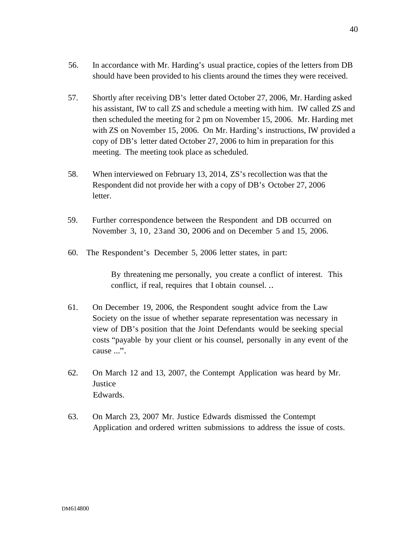- 56. In accordance with Mr. Harding's usual practice, copies of the letters from DB should have been provided to his clients around the times they were received.
- 57. Shortly after receiving DB's letter dated October 27, 2006, Mr. Harding asked his assistant, IW to call ZS and schedule a meeting with him. IW called ZS and then scheduled the meeting for 2 pm on November 15, 2006. Mr. Harding met with ZS on November 15, 2006. On Mr. Harding's instructions, IW provided a copy of DB's letter dated October 27, 2006 to him in preparation for this meeting. The meeting took place as scheduled.
- 58. When interviewed on February 13, 2014, ZS's recollection was that the Respondent did not provide her with a copy of DB's October 27, 2006 letter.
- 59. Further correspondence between the Respondent and DB occurred on November 3, 10, 23and 30, 2006 and on December 5 and 15, 2006.
- 60. The Respondent's December 5, 2006 letter states, in part:

By threatening me personally, you create a conflict of interest. This conflict, if real, requires that I obtain counsel. ..

- 61. On December 19, 2006, the Respondent sought advice from the Law Society on the issue of whether separate representation was necessary in view of DB's position that the Joint Defendants would be seeking special costs "payable by your client or his counsel, personally in any event of the cause ...".
- 62. On March 12 and 13, 2007, the Contempt Application was heard by Mr. **Justice** Edwards.
- 63. On March 23, 2007 Mr. Justice Edwards dismissed the Contempt Application and ordered written submissions to address the issue of costs.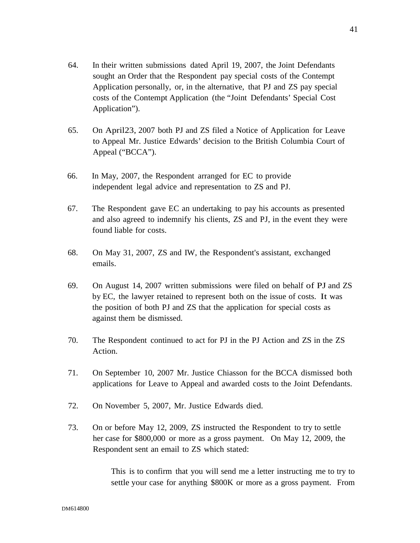- 64. In their written submissions dated April 19, 2007, the Joint Defendants sought an Order that the Respondent pay special costs of the Contempt Application personally, or, in the alternative, that PJ and ZS pay special costs of the Contempt Application (the "Joint Defendants' Special Cost Application").
- 65. On April23, 2007 both PJ and ZS filed a Notice of Application for Leave to Appeal Mr. Justice Edwards' decision to the British Columbia Court of Appeal ("BCCA").
- 66. In May, 2007, the Respondent arranged for EC to provide independent legal advice and representation to ZS and PJ.
- 67. The Respondent gave EC an undertaking to pay his accounts as presented and also agreed to indemnify his clients, ZS and PJ, in the event they were found liable for costs.
- 68. On May 31, 2007, ZS and IW, the Respondent's assistant, exchanged emails.
- 69. On August 14, 2007 written submissions were filed on behalf of PJ and ZS by EC, the lawyer retained to represent both on the issue of costs. It was the position of both PJ and ZS that the application for special costs as against them be dismissed.
- 70. The Respondent continued to act for PJ in the PJ Action and ZS in the ZS Action.
- 71. On September 10, 2007 Mr. Justice Chiasson for the BCCA dismissed both applications for Leave to Appeal and awarded costs to the Joint Defendants.
- 72. On November 5, 2007, Mr. Justice Edwards died.
- 73. On or before May 12, 2009, ZS instructed the Respondent to try to settle her case for \$800,000 or more as a gross payment. On May 12, 2009, the Respondent sent an email to ZS which stated:

This is to confirm that you will send me a letter instructing me to try to settle your case for anything \$800K or more as a gross payment. From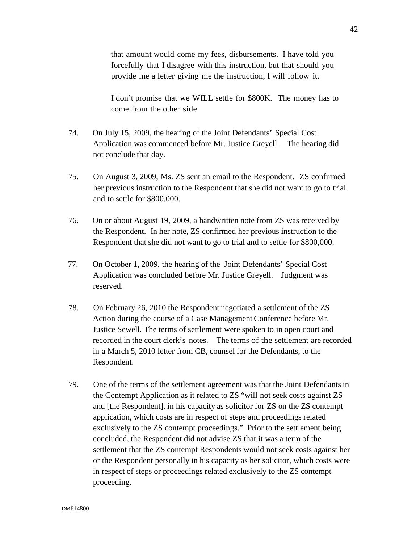that amount would come my fees, disbursements. I have told you forcefully that I disagree with this instruction, but that should you provide me a letter giving me the instruction, I will follow it.

I don't promise that we WILL settle for \$800K. The money has to come from the other side

- 74. On July 15, 2009, the hearing of the Joint Defendants' Special Cost Application was commenced before Mr. Justice Greyell. The hearing did not conclude that day.
- 75. On August 3, 2009, Ms. ZS sent an email to the Respondent. ZS confirmed her previous instruction to the Respondent that she did not want to go to trial and to settle for \$800,000.
- 76. On or about August 19, 2009, a handwritten note from ZS was received by the Respondent. In her note, ZS confirmed her previous instruction to the Respondent that she did not want to go to trial and to settle for \$800,000.
- 77. On October 1, 2009, the hearing of the Joint Defendants' Special Cost Application was concluded before Mr. Justice Greyell. Judgment was reserved.
- 78. On February 26, 2010 the Respondent negotiated a settlement of the ZS Action during the course of a Case Management Conference before Mr. Justice Sewell. The terms of settlement were spoken to in open court and recorded in the court clerk's notes. The terms of the settlement are recorded in a March 5, 2010 letter from CB, counsel for the Defendants, to the Respondent.
- 79. One of the terms of the settlement agreement was that the Joint Defendants in the Contempt Application as it related to ZS "will not seek costs against ZS and [the Respondent], in his capacity as solicitor for ZS on the ZS contempt application, which costs are in respect of steps and proceedings related exclusively to the ZS contempt proceedings." Prior to the settlement being concluded, the Respondent did not advise ZS that it was a term of the settlement that the ZS contempt Respondents would not seek costs against her or the Respondent personally in his capacity as her solicitor, which costs were in respect of steps or proceedings related exclusively to the ZS contempt proceeding.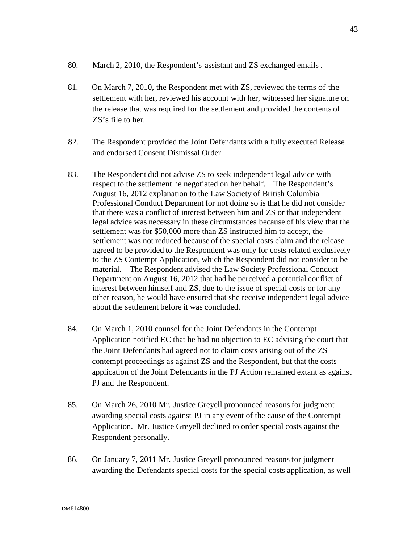- 80. March 2, 2010, the Respondent's assistant and ZS exchanged emails .
- 81. On March 7, 2010, the Respondent met with ZS, reviewed the terms of the settlement with her, reviewed his account with her, witnessed her signature on the release that was required for the settlement and provided the contents of ZS's file to her.
- 82. The Respondent provided the Joint Defendants with a fully executed Release and endorsed Consent Dismissal Order.
- 83. The Respondent did not advise ZS to seek independent legal advice with respect to the settlement he negotiated on her behalf. The Respondent's August 16, 2012 explanation to the Law Society of British Columbia Professional Conduct Department for not doing so is that he did not consider that there was a conflict of interest between him and ZS or that independent legal advice was necessary in these circumstances because of his view that the settlement was for \$50,000 more than ZS instructed him to accept, the settlement was not reduced because of the special costs claim and the release agreed to be provided to the Respondent was only for costs related exclusively to the ZS Contempt Application, which the Respondent did not consider to be material. The Respondent advised the Law Society Professional Conduct Department on August 16, 2012 that had he perceived a potential conflict of interest between himself and ZS, due to the issue of special costs or for any other reason, he would have ensured that she receive independent legal advice about the settlement before it was concluded.
- 84. On March 1, 2010 counsel for the Joint Defendants in the Contempt Application notified EC that he had no objection to EC advising the court that the Joint Defendants had agreed not to claim costs arising out of the ZS contempt proceedings as against ZS and the Respondent, but that the costs application of the Joint Defendants in the PJ Action remained extant as against PJ and the Respondent.
- 85. On March 26, 2010 Mr. Justice Greyell pronounced reasons for judgment awarding special costs against PJ in any event of the cause of the Contempt Application. Mr. Justice Greyell declined to order special costs against the Respondent personally.
- 86. On January 7, 2011 Mr. Justice Greyell pronounced reasons for judgment awarding the Defendants special costs for the special costs application, as well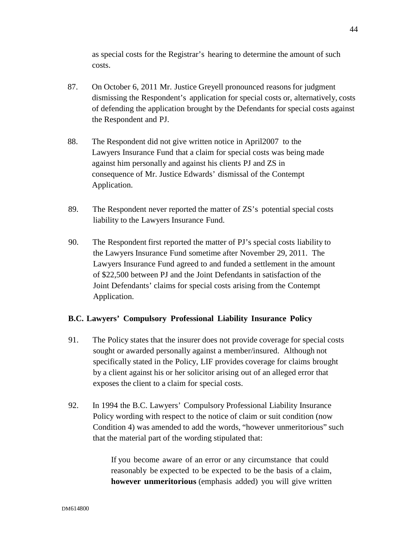as special costs for the Registrar's hearing to determine the amount of such costs.

- 87. On October 6, 2011 Mr. Justice Greyell pronounced reasons for judgment dismissing the Respondent's application for special costs or, alternatively, costs of defending the application brought by the Defendants for special costs against the Respondent and PJ.
- 88. The Respondent did not give written notice in April2007 to the Lawyers Insurance Fund that a claim for special costs was being made against him personally and against his clients PJ and ZS in consequence of Mr. Justice Edwards' dismissal of the Contempt Application.
- 89. The Respondent never reported the matter of ZS's potential special costs liability to the Lawyers Insurance Fund.
- 90. The Respondent first reported the matter of PJ's special costs liability to the Lawyers Insurance Fund sometime after November 29, 2011. The Lawyers Insurance Fund agreed to and funded a settlement in the amount of \$22,500 between PJ and the Joint Defendants in satisfaction of the Joint Defendants' claims for special costs arising from the Contempt Application.

## **B.C. Lawyers' Compulsory Professional Liability Insurance Policy**

- 91. The Policy states that the insurer does not provide coverage for special costs sought or awarded personally against a member/insured. Although not specifically stated in the Policy, LIF provides coverage for claims brought by a client against his or her solicitor arising out of an alleged error that exposes the client to a claim for special costs.
- 92. In 1994 the B.C. Lawyers' Compulsory Professional Liability Insurance Policy wording with respect to the notice of claim or suit condition (now Condition 4) was amended to add the words, "however unmeritorious" such that the material part of the wording stipulated that:

If you become aware of an error or any circumstance that could reasonably be expected to be expected to be the basis of a claim, **however unmeritorious** (emphasis added) you will give written